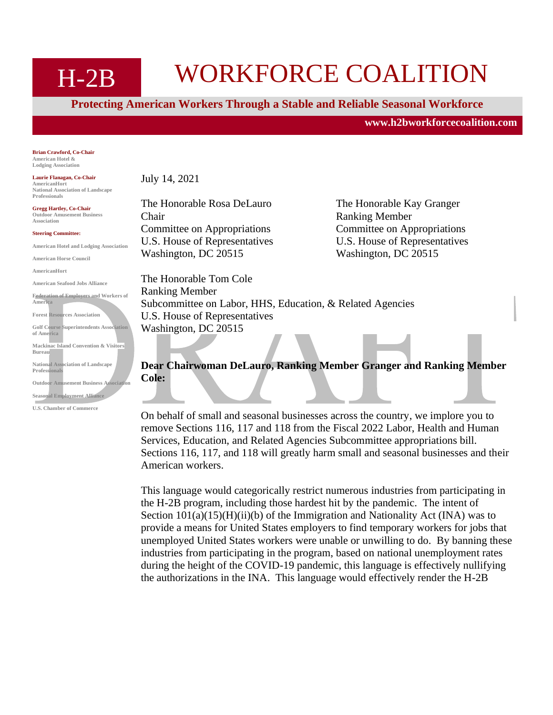# H-2B WORKFORCE COALITION

**Protecting American Workers Through a Stable and Reliable Seasonal Workforce**

**[www.h2bworkforcecoalition.com](http://www.h2bworkforcecoalition.com/)**

**Brian Crawford, Co-Chair American Hotel & Lodging Association**

**Laurie Flanagan, Co-Chair AmericanHort National Association of Landscape Professionals**

**Gregg Hartley, Co-Chair Outdoor Amusement Business Association**

**Steering Committee:**

**American Hotel and Lodging Association**

**American Horse Council**

**AmericanHort**

**American Seafood Jobs Alliance Federation of Employers and Workers of America Forest Resources Association Golf Course Superintendents Association of America Mackinac Island Convention & Visitors Bureau National Association of Landscape Professionals Outdoor Amusement Business Associati Seasonal Employment Alliance**

**U.S. Chamber of Commerce**

July 14, 2021

The Honorable Rosa DeLauro The Honorable Kay Granger Chair Ranking Member Committee on Appropriations Committee on Appropriations U.S. House of Representatives U.S. House of Representatives Washington, DC 20515 Washington, DC 20515

The Honorable Tom Cole Ranking Member Subcommittee on Labor, HHS, Education, & Related Agencies U.S. House of Representatives Washington, DC 20515

**Dear Chairwoman DeLauro, Ranking Member Granger and Ranking Member Cole:**

On behalf of small and seasonal businesses across the country, we implore you to remove Sections 116, 117 and 118 from the Fiscal 2022 Labor, Health and Human Services, Education, and Related Agencies Subcommittee appropriations bill. Sections 116, 117, and 118 will greatly harm small and seasonal businesses and their American workers.

This language would categorically restrict numerous industries from participating in the H-2B program, including those hardest hit by the pandemic. The intent of Section  $101(a)(15)(H)(ii)(b)$  of the Immigration and Nationality Act (INA) was to provide a means for United States employers to find temporary workers for jobs that unemployed United States workers were unable or unwilling to do. By banning these industries from participating in the program, based on national unemployment rates during the height of the COVID-19 pandemic, this language is effectively nullifying the authorizations in the INA. This language would effectively render the H-2B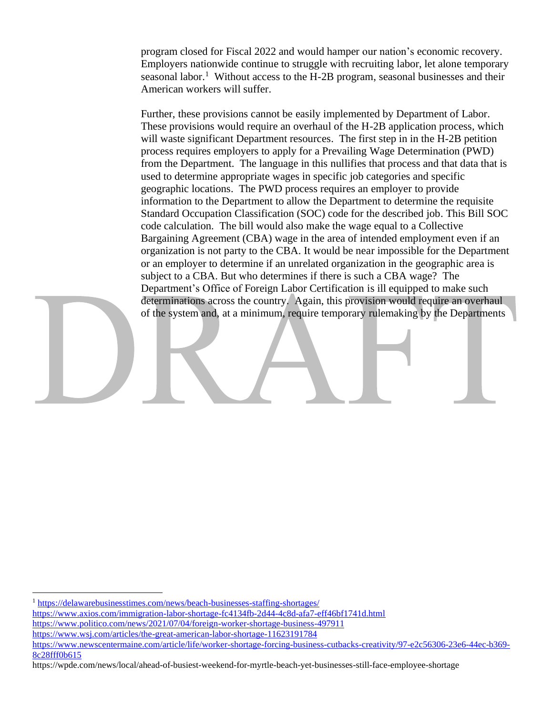program closed for Fiscal 2022 and would hamper our nation's economic recovery. Employers nationwide continue to struggle with recruiting labor, let alone temporary seasonal labor.<sup>1</sup> Without access to the H-2B program, seasonal businesses and their American workers will suffer.

Further, these provisions cannot be easily implemented by Department of Labor. These provisions would require an overhaul of the H-2B application process, which will waste significant Department resources. The first step in in the H-2B petition process requires employers to apply for a Prevailing Wage Determination (PWD) from the Department. The language in this nullifies that process and that data that is used to determine appropriate wages in specific job categories and specific geographic locations. The PWD process requires an employer to provide information to the Department to allow the Department to determine the requisite Standard Occupation Classification (SOC) code for the described job. This Bill SOC code calculation. The bill would also make the wage equal to a Collective Bargaining Agreement (CBA) wage in the area of intended employment even if an organization is not party to the CBA. It would be near impossible for the Department or an employer to determine if an unrelated organization in the geographic area is subject to a CBA. But who determines if there is such a CBA wage? The Department's Office of Foreign Labor Certification is ill equipped to make such determinations across the country. Again, this provision would require an overhaul of the system and, at a minimum, require temporary rulemaking by the Departments

<sup>&</sup>lt;sup>1</sup> <https://delawarebusinesstimes.com/news/beach-businesses-staffing-shortages/> <https://www.axios.com/immigration-labor-shortage-fc4134fb-2d44-4c8d-afa7-eff46bf1741d.html> <https://www.politico.com/news/2021/07/04/foreign-worker-shortage-business-497911> <https://www.wsj.com/articles/the-great-american-labor-shortage-11623191784> [https://www.newscentermaine.com/article/life/worker-shortage-forcing-business-cutbacks-creativity/97-e2c56306-23e6-44ec-b369-](https://www.newscentermaine.com/article/life/worker-shortage-forcing-business-cutbacks-creativity/97-e2c56306-23e6-44ec-b369-8c28fff0b615)

[<sup>8</sup>c28fff0b615](https://www.newscentermaine.com/article/life/worker-shortage-forcing-business-cutbacks-creativity/97-e2c56306-23e6-44ec-b369-8c28fff0b615) https://wpde.com/news/local/ahead-of-busiest-weekend-for-myrtle-beach-yet-businesses-still-face-employee-shortage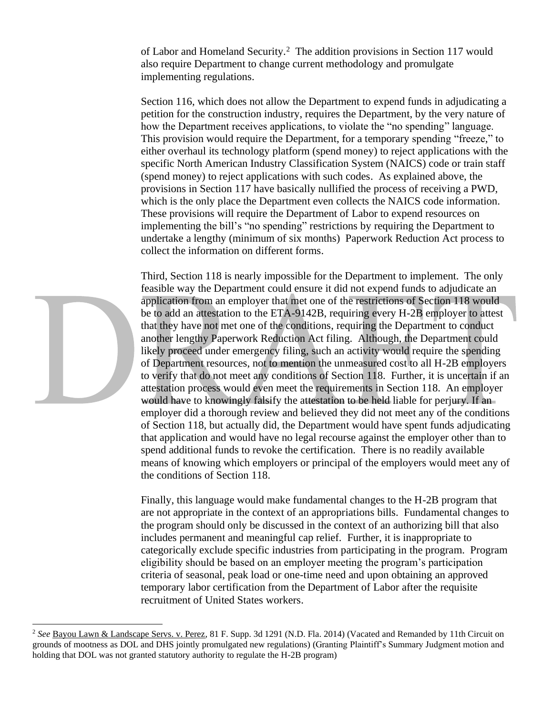of Labor and Homeland Security.<sup>2</sup> The addition provisions in Section 117 would also require Department to change current methodology and promulgate implementing regulations.

Section 116, which does not allow the Department to expend funds in adjudicating a petition for the construction industry, requires the Department, by the very nature of how the Department receives applications, to violate the "no spending" language. This provision would require the Department, for a temporary spending "freeze," to either overhaul its technology platform (spend money) to reject applications with the specific North American Industry Classification System (NAICS) code or train staff (spend money) to reject applications with such codes. As explained above, the provisions in Section 117 have basically nullified the process of receiving a PWD, which is the only place the Department even collects the NAICS code information. These provisions will require the Department of Labor to expend resources on implementing the bill's "no spending" restrictions by requiring the Department to undertake a lengthy (minimum of six months) Paperwork Reduction Act process to collect the information on different forms.

Third, Section 118 is nearly impossible for the Department to implement. The only feasible way the Department could ensure it did not expend funds to adjudicate an application from an employer that met one of the restrictions of Section 118 would be to add an attestation to the ETA-9142B, requiring every H-2B employer to attest that they have not met one of the conditions, requiring the Department to conduct another lengthy Paperwork Reduction Act filing. Although, the Department could likely proceed under emergency filing, such an activity would require the spending of Department resources, not to mention the unmeasured cost to all H-2B employers to verify that do not meet any conditions of Section 118. Further, it is uncertain if an attestation process would even meet the requirements in Section 118. An employer would have to knowingly falsify the attestation to be held liable for perjury. If an employer did a thorough review and believed they did not meet any of the conditions of Section 118, but actually did, the Department would have spent funds adjudicating that application and would have no legal recourse against the employer other than to spend additional funds to revoke the certification. There is no readily available means of knowing which employers or principal of the employers would meet any of the conditions of Section 118.

Finally, this language would make fundamental changes to the H-2B program that are not appropriate in the context of an appropriations bills. Fundamental changes to the program should only be discussed in the context of an authorizing bill that also includes permanent and meaningful cap relief. Further, it is inappropriate to categorically exclude specific industries from participating in the program. Program eligibility should be based on an employer meeting the program's participation criteria of seasonal, peak load or one-time need and upon obtaining an approved temporary labor certification from the Department of Labor after the requisite recruitment of United States workers.

<sup>2</sup> *See* Bayou Lawn & Landscape Servs. v. Perez, 81 F. Supp. 3d 1291 (N.D. Fla. 2014) (Vacated and Remanded by 11th Circuit on grounds of mootness as DOL and DHS jointly promulgated new regulations) (Granting Plaintiff's Summary Judgment motion and holding that DOL was not granted statutory authority to regulate the H-2B program)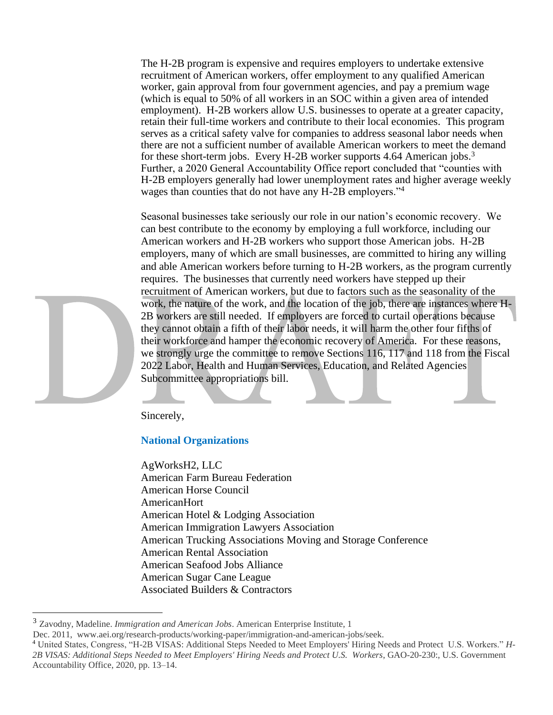The H-2B program is expensive and requires employers to undertake extensive recruitment of American workers, offer employment to any qualified American worker, gain approval from four government agencies, and pay a premium wage (which is equal to 50% of all workers in an SOC within a given area of intended employment). H-2B workers allow U.S. businesses to operate at a greater capacity, retain their full-time workers and contribute to their local economies. This program serves as a critical safety valve for companies to address seasonal labor needs when there are not a sufficient number of available American workers to meet the demand for these short-term jobs. Every H-2B worker supports 4.64 American jobs.<sup>3</sup> Further, a 2020 General Accountability Office report concluded that "counties with H-2B employers generally had lower unemployment rates and higher average weekly wages than counties that do not have any H-2B employers."<sup>4</sup>

Seasonal businesses take seriously our role in our nation's economic recovery. We can best contribute to the economy by employing a full workforce, including our American workers and H-2B workers who support those American jobs. H-2B employers, many of which are small businesses, are committed to hiring any willing and able American workers before turning to H-2B workers, as the program currently requires. The businesses that currently need workers have stepped up their recruitment of American workers, but due to factors such as the seasonality of the work, the nature of the work, and the location of the job, there are instances where H-2B workers are still needed. If employers are forced to curtail operations because they cannot obtain a fifth of their labor needs, it will harm the other four fifths of their workforce and hamper the economic recovery of America. For these reasons, we strongly urge the committee to remove Sections 116, 117 and 118 from the Fiscal 2022 Labor, Health and Human Services, Education, and Related Agencies Subcommittee appropriations bill.

Sincerely,

# **National Organizations**

AgWorksH2, LLC American Farm Bureau Federation American Horse Council AmericanHort American Hotel & Lodging Association American Immigration Lawyers Association American Trucking Associations Moving and Storage Conference American Rental Association American Seafood Jobs Alliance American Sugar Cane League Associated Builders & Contractors

<sup>3</sup> Zavodny, Madeline. *Immigration and American Jobs*. American Enterprise Institute, 1

Dec. 2011, www.aei.org/research-products/working-paper/immigration-and-american-jobs/seek.

<sup>4</sup> United States, Congress, "H-2B VISAS: Additional Steps Needed to Meet Employers' Hiring Needs and Protect U.S. Workers." *H-2B VISAS: Additional Steps Needed to Meet Employers' Hiring Needs and Protect U.S. Workers*, GAO-20-230:, U.S. Government Accountability Office, 2020, pp. 13–14.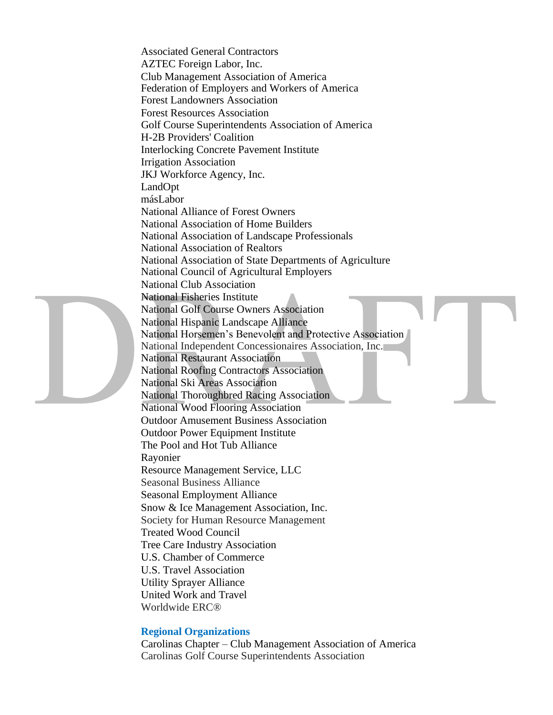Associated General Contractors AZTEC Foreign Labor, Inc. Club Management Association of America Federation of Employers and Workers of America Forest Landowners Association Forest Resources Association Golf Course Superintendents Association of America H-2B Providers' Coalition Interlocking Concrete Pavement Institute Irrigation Association JKJ Workforce Agency, Inc. LandOpt másLabor National Alliance of Forest Owners National Association of Home Builders National Association of Landscape Professionals National Association of Realtors National Association of State Departments of Agriculture National Council of Agricultural Employers National Club Association National Fisheries Institute National Golf Course Owners Association National Hispanic Landscape Alliance National Horsemen's Benevolent and Protective Association National Independent Concessionaires Association, Inc. National Restaurant Association National Roofing Contractors Association National Ski Areas Association National Thoroughbred Racing Association National Wood Flooring Association Outdoor Amusement Business Association Outdoor Power Equipment Institute The Pool and Hot Tub Alliance Rayonier Resource Management Service, LLC Seasonal Business Alliance Seasonal Employment Alliance Snow & Ice Management Association, Inc. Society for Human Resource Management Treated Wood Council Tree Care Industry Association U.S. Chamber of Commerce U.S. Travel Association Utility Sprayer Alliance United Work and Travel Worldwide ERC®

# **Regional Organizations**

Carolinas Chapter – Club Management Association of America Carolinas Golf Course Superintendents Association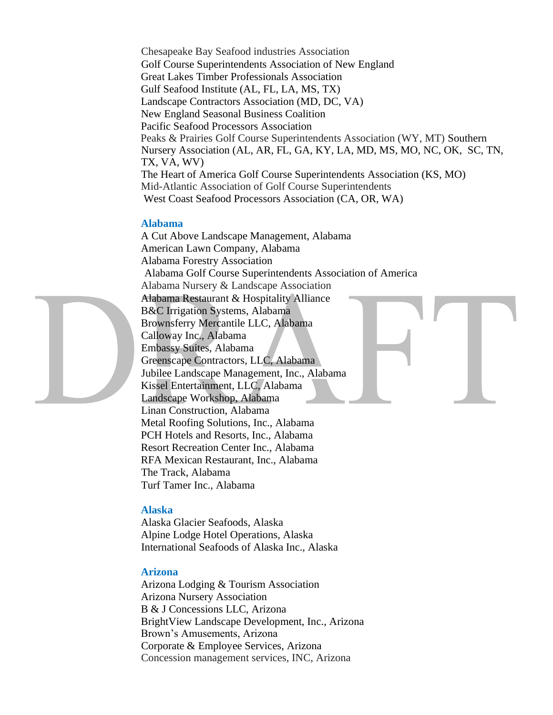Chesapeake Bay Seafood industries Association Golf Course Superintendents Association of New England Great Lakes Timber Professionals Association Gulf Seafood Institute (AL, FL, LA, MS, TX) Landscape Contractors Association (MD, DC, VA) New England Seasonal Business Coalition Pacific Seafood Processors Association Peaks & Prairies Golf Course Superintendents Association (WY, MT) Southern Nursery Association (AL, AR, FL, GA, KY, LA, MD, MS, MO, NC, OK, SC, TN, TX, VA, WV) The Heart of America Golf Course Superintendents Association (KS, MO) Mid-Atlantic Association of Golf Course Superintendents West Coast Seafood Processors Association (CA, OR, WA)

# **Alabama**

A Cut Above Landscape Management, Alabama American Lawn Company, Alabama Alabama Forestry Association Alabama Golf Course Superintendents Association of America Alabama Nursery & Landscape Association Alabama Restaurant & Hospitality Alliance B&C Irrigation Systems, Alabama Brownsferry Mercantile LLC, Alabama Calloway Inc., Alabama Embassy Suites, Alabama Greenscape Contractors, LLC, Alabama Jubilee Landscape Management, Inc., Alabama Kissel Entertainment, LLC, Alabama Landscape Workshop, Alabama Linan Construction, Alabama Metal Roofing Solutions, Inc., Alabama PCH Hotels and Resorts, Inc., Alabama Resort Recreation Center Inc., Alabama RFA Mexican Restaurant, Inc., Alabama The Track, Alabama Turf Tamer Inc., Alabama

# **Alaska**

Alaska Glacier Seafoods, Alaska Alpine Lodge Hotel Operations, Alaska International Seafoods of Alaska Inc., Alaska

# **Arizona**

Arizona Lodging & Tourism Association Arizona Nursery Association B & J Concessions LLC, Arizona BrightView Landscape Development, Inc., Arizona Brown's Amusements, Arizona Corporate & Employee Services, Arizona Concession management services, INC, Arizona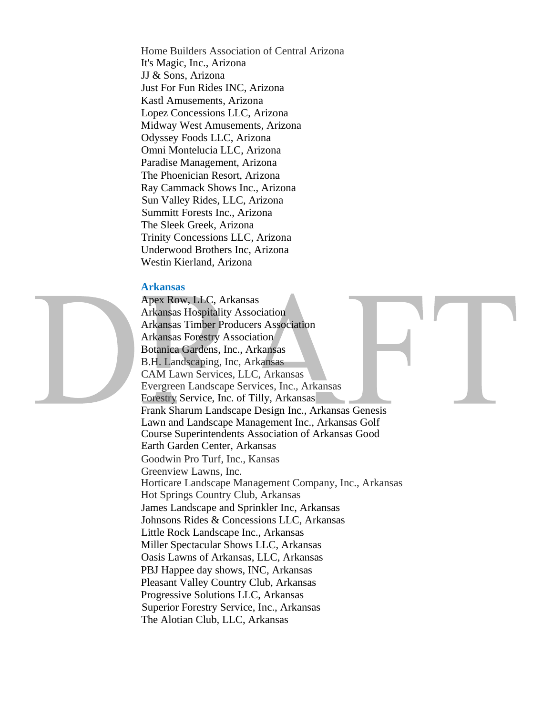Home Builders Association of Central Arizona It's Magic, Inc., Arizona JJ & Sons, Arizona Just For Fun Rides INC, Arizona Kastl Amusements, Arizona Lopez Concessions LLC, Arizona Midway West Amusements, Arizona Odyssey Foods LLC, Arizona Omni Montelucia LLC, Arizona Paradise Management, Arizona The Phoenician Resort, Arizona Ray Cammack Shows Inc., Arizona Sun Valley Rides, LLC, Arizona Summitt Forests Inc., Arizona The Sleek Greek, Arizona Trinity Concessions LLC, Arizona Underwood Brothers Inc, Arizona Westin Kierland, Arizona

#### **Arkansas**

Apex Row, LLC, Arkansas Arkansas Hospitality Association Arkansas Timber Producers Association Arkansas Forestry Association Botanica Gardens, Inc., Arkansas B.H. Landscaping, Inc, Arkansas CAM Lawn Services, LLC, Arkansas Evergreen Landscape Services, Inc., Arkansas Forestry Service, Inc. of Tilly, Arkansas Frank Sharum Landscape Design Inc., Arkansas Genesis Lawn and Landscape Management Inc., Arkansas Golf Course Superintendents Association of Arkansas Good Earth Garden Center, Arkansas Goodwin Pro Turf, Inc., Kansas Greenview Lawns, Inc. Horticare Landscape Management Company, Inc., Arkansas Hot Springs Country Club, Arkansas James Landscape and Sprinkler Inc, Arkansas Johnsons Rides & Concessions LLC, Arkansas Little Rock Landscape Inc., Arkansas Miller Spectacular Shows LLC, Arkansas Oasis Lawns of Arkansas, LLC, Arkansas PBJ Happee day shows, INC, Arkansas Pleasant Valley Country Club, Arkansas Progressive Solutions LLC, Arkansas Superior Forestry Service, Inc., Arkansas The Alotian Club, LLC, Arkansas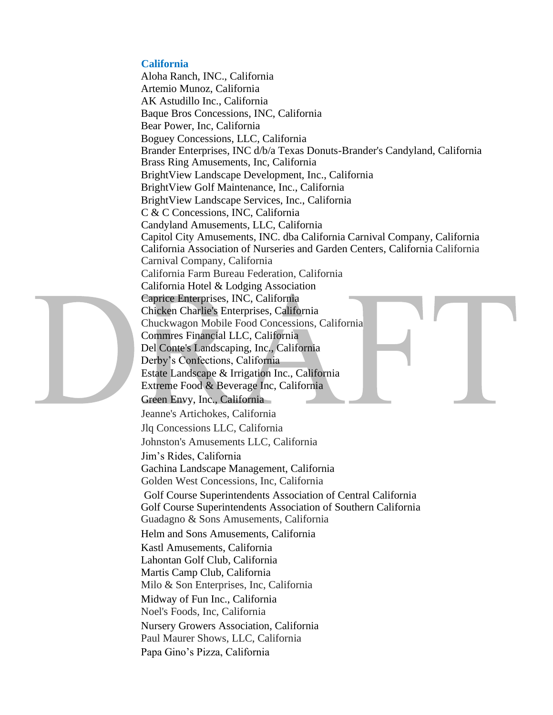# **California**

Aloha Ranch, INC., California Artemio Munoz, California AK Astudillo Inc., California Baque Bros Concessions, INC, California Bear Power, Inc, California Boguey Concessions, LLC, California Brander Enterprises, INC d/b/a Texas Donuts-Brander's Candyland, California Brass Ring Amusements, Inc, California BrightView Landscape Development, Inc., California BrightView Golf Maintenance, Inc., California BrightView Landscape Services, Inc., California C & C Concessions, INC, California Candyland Amusements, LLC, California Capitol City Amusements, INC. dba California Carnival Company, California California Association of Nurseries and Garden Centers, California California Carnival Company, California California Farm Bureau Federation, California California Hotel & Lodging Association Caprice Enterprises, INC, California Chicken Charlie's Enterprises, California Chuckwagon Mobile Food Concessions, California Commres Financial LLC, California Del Conte's Landscaping, Inc., California Derby's Confections, California Estate Landscape & Irrigation Inc., California Extreme Food & Beverage Inc, California Green Envy, Inc., California Jeanne's Artichokes, California Jlq Concessions LLC, California Johnston's Amusements LLC, California Jim's Rides, California Gachina Landscape Management, California Golden West Concessions, Inc, California Golf Course Superintendents Association of Central California Golf Course Superintendents Association of Southern California Guadagno & Sons Amusements, California Helm and Sons Amusements, California Kastl Amusements, California Lahontan Golf Club, California Martis Camp Club, California Milo & Son Enterprises, Inc, California Midway of Fun Inc., California Noel's Foods, Inc, California Nursery Growers Association, California Paul Maurer Shows, LLC, California Papa Gino's Pizza, California

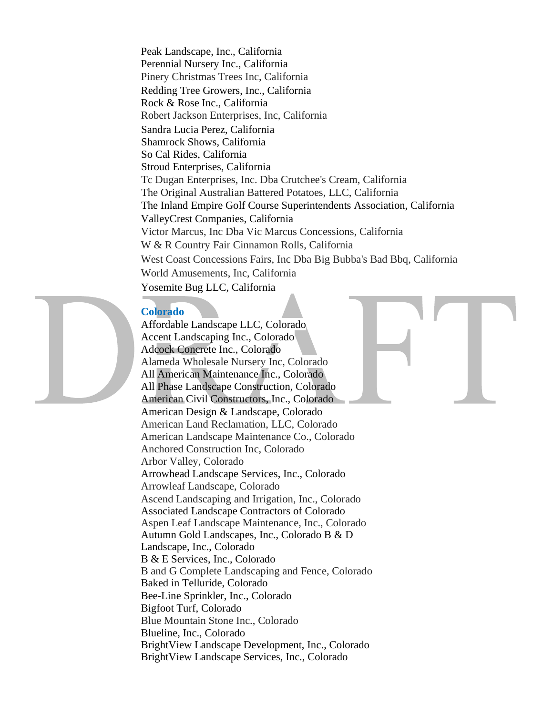Peak Landscape, Inc., California Perennial Nursery Inc., California Pinery Christmas Trees Inc, California Redding Tree Growers, Inc., California Rock & Rose Inc., California Robert Jackson Enterprises, Inc, California Sandra Lucia Perez, California Shamrock Shows, California So Cal Rides, California Stroud Enterprises, California Tc Dugan Enterprises, Inc. Dba Crutchee's Cream, California The Original Australian Battered Potatoes, LLC, California The Inland Empire Golf Course Superintendents Association, California ValleyCrest Companies, California Victor Marcus, Inc Dba Vic Marcus Concessions, California W & R Country Fair Cinnamon Rolls, California West Coast Concessions Fairs, Inc Dba Big Bubba's Bad Bbq, California World Amusements, Inc, California Yosemite Bug LLC, California

# **Colorado**

Affordable Landscape LLC, Colorado Accent Landscaping Inc., Colorado Adcock Concrete Inc., Colorado Alameda Wholesale Nursery Inc, Colorado All American Maintenance Inc., Colorado All Phase Landscape Construction, Colorado American Civil Constructors, Inc., Colorado American Design & Landscape, Colorado American Land Reclamation, LLC, Colorado American Landscape Maintenance Co., Colorado Anchored Construction Inc, Colorado Arbor Valley, Colorado Arrowhead Landscape Services, Inc., Colorado Arrowleaf Landscape, Colorado Ascend Landscaping and Irrigation, Inc., Colorado Associated Landscape Contractors of Colorado Aspen Leaf Landscape Maintenance, Inc., Colorado Autumn Gold Landscapes, Inc., Colorado B & D Landscape, Inc., Colorado B & E Services, Inc., Colorado B and G Complete Landscaping and Fence, Colorado Baked in Telluride, Colorado Bee-Line Sprinkler, Inc., Colorado Bigfoot Turf, Colorado Blue Mountain Stone Inc., Colorado Blueline, Inc., Colorado BrightView Landscape Development, Inc., Colorado BrightView Landscape Services, Inc., Colorado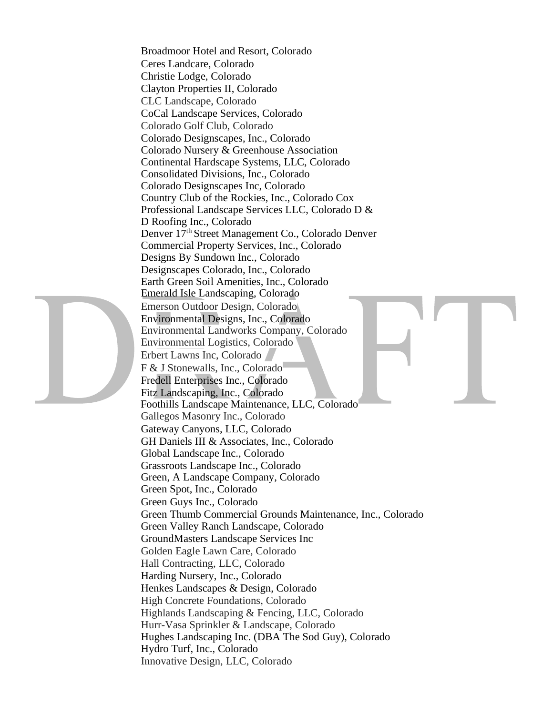Broadmoor Hotel and Resort, Colorado Ceres Landcare, Colorado Christie Lodge, Colorado Clayton Properties II, Colorado CLC Landscape, Colorado CoCal Landscape Services, Colorado Colorado Golf Club, Colorado Colorado Designscapes, Inc., Colorado Colorado Nursery & Greenhouse Association Continental Hardscape Systems, LLC, Colorado Consolidated Divisions, Inc., Colorado Colorado Designscapes Inc, Colorado Country Club of the Rockies, Inc., Colorado Cox Professional Landscape Services LLC, Colorado D & D Roofing Inc., Colorado Denver 17th Street Management Co., Colorado Denver Commercial Property Services, Inc., Colorado Designs By Sundown Inc., Colorado Designscapes Colorado, Inc., Colorado Earth Green Soil Amenities, Inc., Colorado Emerald Isle Landscaping, Colorado Emerson Outdoor Design, Colorado Environmental Designs, Inc., Colorado Environmental Landworks Company, Colorado Environmental Logistics, Colorado Erbert Lawns Inc, Colorado F & J Stonewalls, Inc., Colorado Fredell Enterprises Inc., Colorado Fitz Landscaping, Inc., Colorado Foothills Landscape Maintenance, LLC, Colorado Gallegos Masonry Inc., Colorado Gateway Canyons, LLC, Colorado GH Daniels III & Associates, Inc., Colorado Global Landscape Inc., Colorado Grassroots Landscape Inc., Colorado Green, A Landscape Company, Colorado Green Spot, Inc., Colorado Green Guys Inc., Colorado Green Thumb Commercial Grounds Maintenance, Inc., Colorado Green Valley Ranch Landscape, Colorado GroundMasters Landscape Services Inc Golden Eagle Lawn Care, Colorado Hall Contracting, LLC, Colorado Harding Nursery, Inc., Colorado Henkes Landscapes & Design, Colorado High Concrete Foundations, Colorado Highlands Landscaping & Fencing, LLC, Colorado Hurr-Vasa Sprinkler & Landscape, Colorado Hughes Landscaping Inc. (DBA The Sod Guy), Colorado Hydro Turf, Inc., Colorado Innovative Design, LLC, Colorado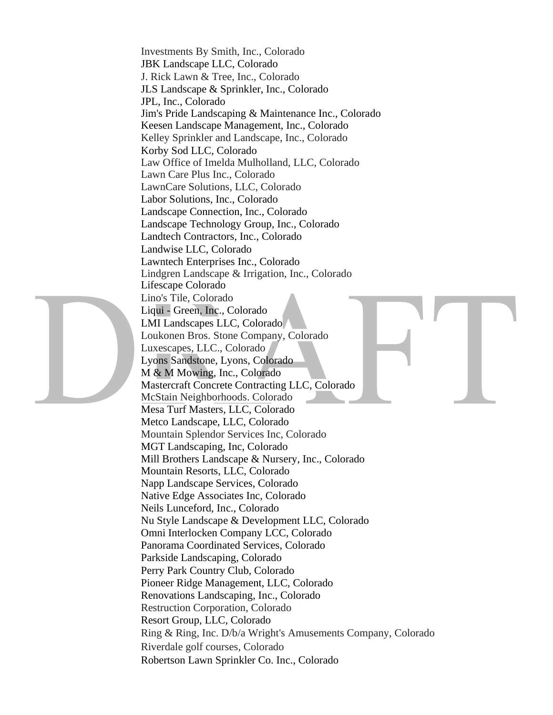Investments By Smith, Inc., Colorado JBK Landscape LLC, Colorado J. Rick Lawn & Tree, Inc., Colorado JLS Landscape & Sprinkler, Inc., Colorado JPL, Inc., Colorado Jim's Pride Landscaping & Maintenance Inc., Colorado Keesen Landscape Management, Inc., Colorado Kelley Sprinkler and Landscape, Inc., Colorado Korby Sod LLC, Colorado Law Office of Imelda Mulholland, LLC, Colorado Lawn Care Plus Inc., Colorado LawnCare Solutions, LLC, Colorado Labor Solutions, Inc., Colorado Landscape Connection, Inc., Colorado Landscape Technology Group, Inc., Colorado Landtech Contractors, Inc., Colorado Landwise LLC, Colorado Lawntech Enterprises Inc., Colorado Lindgren Landscape & Irrigation, Inc., Colorado Lifescape Colorado Lino's Tile, Colorado Liqui - Green, Inc., Colorado LMI Landscapes LLC, Colorado Loukonen Bros. Stone Company, Colorado Luxescapes, LLC., Colorado Lyons Sandstone, Lyons, Colorado M & M Mowing, Inc., Colorado Mastercraft Concrete Contracting LLC, Colorado McStain Neighborhoods. Colorado Mesa Turf Masters, LLC, Colorado Metco Landscape, LLC, Colorado Mountain Splendor Services Inc, Colorado MGT Landscaping, Inc, Colorado Mill Brothers Landscape & Nursery, Inc., Colorado Mountain Resorts, LLC, Colorado Napp Landscape Services, Colorado Native Edge Associates Inc, Colorado Neils Lunceford, Inc., Colorado Nu Style Landscape & Development LLC, Colorado Omni Interlocken Company LCC, Colorado Panorama Coordinated Services, Colorado Parkside Landscaping, Colorado Perry Park Country Club, Colorado Pioneer Ridge Management, LLC, Colorado Renovations Landscaping, Inc., Colorado Restruction Corporation, Colorado Resort Group, LLC, Colorado Ring & Ring, Inc. D/b/a Wright's Amusements Company, Colorado Riverdale golf courses, Colorado Robertson Lawn Sprinkler Co. Inc., Colorado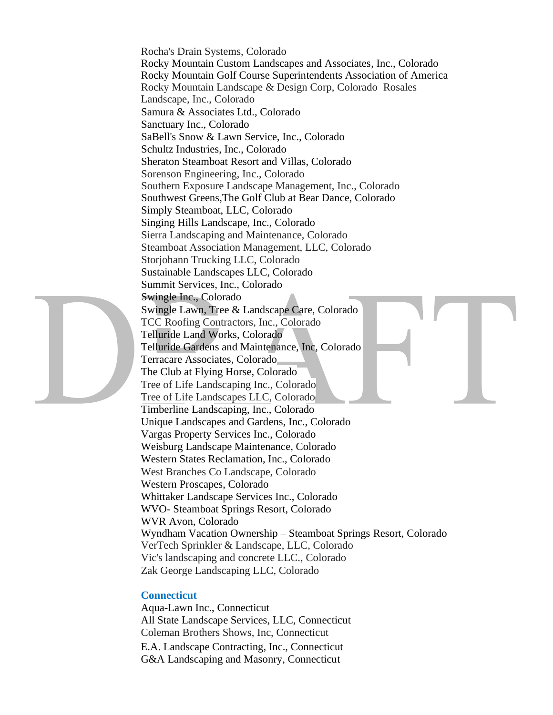Rocha's Drain Systems, Colorado Rocky Mountain Custom Landscapes and Associates, Inc., Colorado Rocky Mountain Golf Course Superintendents Association of America Rocky Mountain Landscape & Design Corp, Colorado Rosales Landscape, Inc., Colorado Samura & Associates Ltd., Colorado Sanctuary Inc., Colorado SaBell's Snow & Lawn Service, Inc., Colorado Schultz Industries, Inc., Colorado Sheraton Steamboat Resort and Villas, Colorado Sorenson Engineering, Inc., Colorado Southern Exposure Landscape Management, Inc., Colorado Southwest Greens,The Golf Club at Bear Dance, Colorado Simply Steamboat, LLC, Colorado Singing Hills Landscape, Inc., Colorado Sierra Landscaping and Maintenance, Colorado Steamboat Association Management, LLC, Colorado Storjohann Trucking LLC, Colorado Sustainable Landscapes LLC, Colorado Summit Services, Inc., Colorado Swingle Inc., Colorado Swingle Lawn, Tree & Landscape Care, Colorado TCC Roofing Contractors, Inc., Colorado Telluride Land Works, Colorado Telluride Gardens and Maintenance, Inc, Colorado Terracare Associates, Colorado The Club at Flying Horse, Colorado Tree of Life Landscaping Inc., Colorado Tree of Life Landscapes LLC, Colorado Timberline Landscaping, Inc., Colorado Unique Landscapes and Gardens, Inc., Colorado Vargas Property Services Inc., Colorado Weisburg Landscape Maintenance, Colorado Western States Reclamation, Inc., Colorado West Branches Co Landscape, Colorado Western Proscapes, Colorado Whittaker Landscape Services Inc., Colorado WVO- Steamboat Springs Resort, Colorado WVR Avon, Colorado Wyndham Vacation Ownership – Steamboat Springs Resort, Colorado VerTech Sprinkler & Landscape, LLC, Colorado Vic's landscaping and concrete LLC., Colorado Zak George Landscaping LLC, Colorado

# **Connecticut**

Aqua-Lawn Inc., Connecticut All State Landscape Services, LLC, Connecticut Coleman Brothers Shows, Inc, Connecticut E.A. Landscape Contracting, Inc., Connecticut G&A Landscaping and Masonry, Connecticut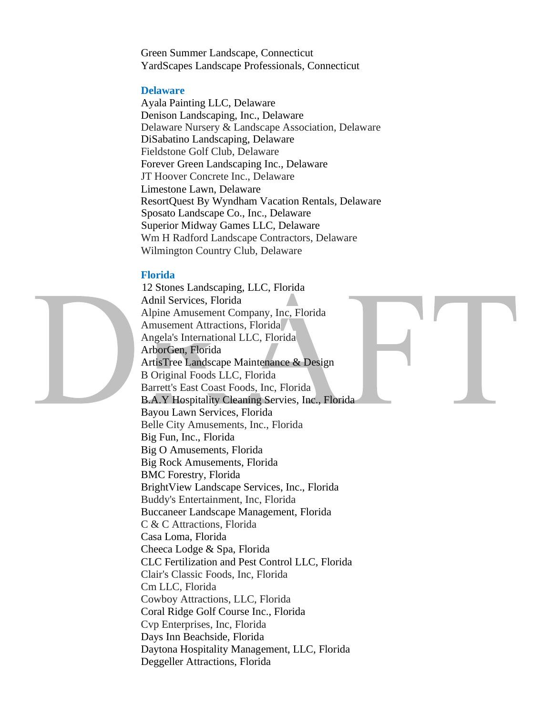Green Summer Landscape, Connecticut YardScapes Landscape Professionals, Connecticut

# **Delaware**

Ayala Painting LLC, Delaware Denison Landscaping, Inc., Delaware Delaware Nursery & Landscape Association, Delaware DiSabatino Landscaping, Delaware Fieldstone Golf Club, Delaware Forever Green Landscaping Inc., Delaware JT Hoover Concrete Inc., Delaware Limestone Lawn, Delaware ResortQuest By Wyndham Vacation Rentals, Delaware Sposato Landscape Co., Inc., Delaware Superior Midway Games LLC, Delaware Wm H Radford Landscape Contractors, Delaware Wilmington Country Club, Delaware

# **Florida**

12 Stones Landscaping, LLC, Florida Adnil Services, Florida Alpine Amusement Company, Inc, Florida Amusement Attractions, Florida Angela's International LLC, Florida ArborGen, Florida ArtisTree Landscape Maintenance & Design B Original Foods LLC, Florida Barrett's East Coast Foods, Inc, Florida B.A.Y Hospitality Cleaning Servies, Inc., Florida Bayou Lawn Services, Florida Belle City Amusements, Inc., Florida Big Fun, Inc., Florida Big O Amusements, Florida Big Rock Amusements, Florida BMC Forestry, Florida BrightView Landscape Services, Inc., Florida Buddy's Entertainment, Inc, Florida Buccaneer Landscape Management, Florida C & C Attractions, Florida Casa Loma, Florida Cheeca Lodge & Spa, Florida CLC Fertilization and Pest Control LLC, Florida Clair's Classic Foods, Inc, Florida Cm LLC, Florida Cowboy Attractions, LLC, Florida Coral Ridge Golf Course Inc., Florida Cvp Enterprises, Inc, Florida Days Inn Beachside, Florida Daytona Hospitality Management, LLC, Florida Deggeller Attractions, Florida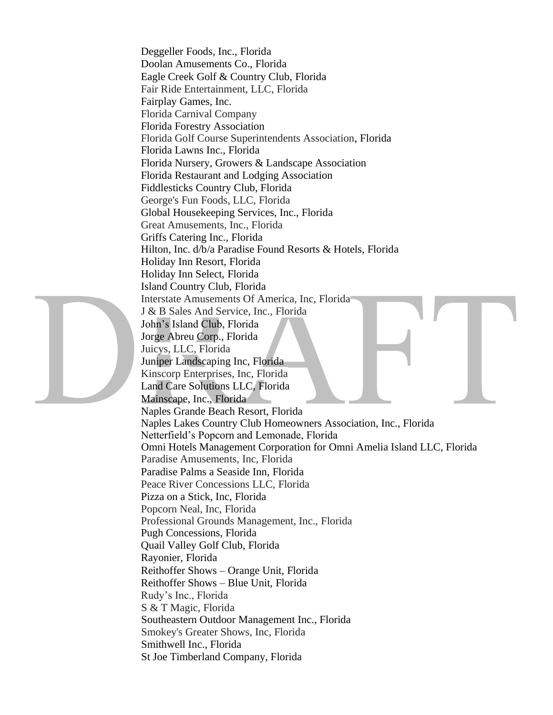Deggeller Foods, Inc., Florida Doolan Amusements Co., Florida Eagle Creek Golf & Country Club, Florida Fair Ride Entertainment, LLC, Florida Fairplay Games, Inc. Florida Carnival Company Florida Forestry Association Florida Golf Course Superintendents Association, Florida Florida Lawns Inc., Florida Florida Nursery, Growers & Landscape Association Florida Restaurant and Lodging Association Fiddlesticks Country Club, Florida George's Fun Foods, LLC, Florida Global Housekeeping Services, Inc., Florida Great Amusements, Inc., Florida Griffs Catering Inc., Florida Hilton, Inc. d/b/a Paradise Found Resorts & Hotels, Florida Holiday Inn Resort, Florida Holiday Inn Select, Florida Island Country Club, Florida Interstate Amusements Of America, Inc, Florida J & B Sales And Service, Inc., Florida John's Island Club, Florida Jorge Abreu Corp., Florida Juicys, LLC, Florida Juniper Landscaping Inc, Florida Kinscorp Enterprises, Inc, Florida Land Care Solutions LLC, Florida Mainscape, Inc., Florida Naples Grande Beach Resort, Florida Naples Lakes Country Club Homeowners Association, Inc., Florida Netterfield's Popcorn and Lemonade, Florida Omni Hotels Management Corporation for Omni Amelia Island LLC, Florida Paradise Amusements, Inc, Florida Paradise Palms a Seaside Inn, Florida Peace River Concessions LLC, Florida Pizza on a Stick, Inc, Florida Popcorn Neal, Inc, Florida Professional Grounds Management, Inc., Florida Pugh Concessions, Florida Quail Valley Golf Club, Florida Rayonier, Florida Reithoffer Shows – Orange Unit, Florida Reithoffer Shows – Blue Unit, Florida Rudy's Inc., Florida S & T Magic, Florida Southeastern Outdoor Management Inc., Florida Smokey's Greater Shows, Inc, Florida Smithwell Inc., Florida St Joe Timberland Company, Florida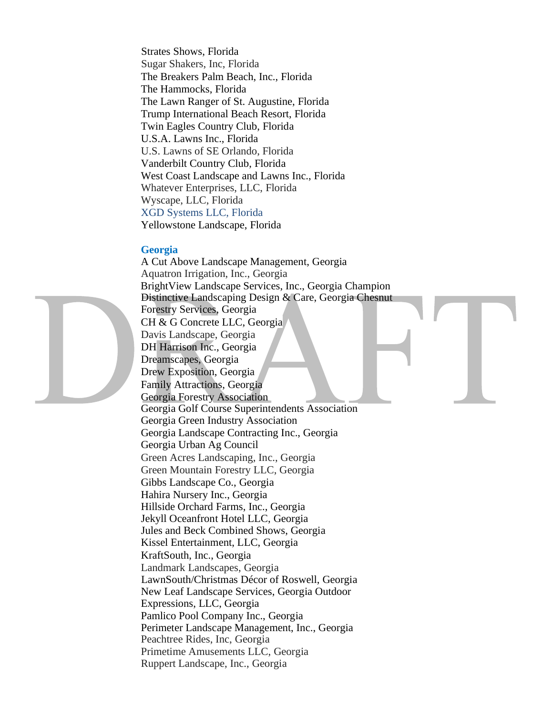Strates Shows, Florida Sugar Shakers, Inc, Florida The Breakers Palm Beach, Inc., Florida The Hammocks, Florida The Lawn Ranger of St. Augustine, Florida Trump International Beach Resort, Florida Twin Eagles Country Club, Florida U.S.A. Lawns Inc., Florida U.S. Lawns of SE Orlando, Florida Vanderbilt Country Club, Florida West Coast Landscape and Lawns Inc., Florida Whatever Enterprises, LLC, Florida Wyscape, LLC, Florida XGD Systems LLC, Florida Yellowstone Landscape, Florida

# **Georgia**

A Cut Above Landscape Management, Georgia Aquatron Irrigation, Inc., Georgia BrightView Landscape Services, Inc., Georgia Champion Distinctive Landscaping Design & Care, Georgia Chesnut Forestry Services, Georgia CH & G Concrete LLC, Georgia Davis Landscape, Georgia DH Harrison Inc., Georgia Dreamscapes, Georgia Drew Exposition, Georgia Family Attractions, Georgia Georgia Forestry Association Georgia Golf Course Superintendents Association Georgia Green Industry Association Georgia Landscape Contracting Inc., Georgia Georgia Urban Ag Council Green Acres Landscaping, Inc., Georgia Green Mountain Forestry LLC, Georgia Gibbs Landscape Co., Georgia Hahira Nursery Inc., Georgia Hillside Orchard Farms, Inc., Georgia Jekyll Oceanfront Hotel LLC, Georgia Jules and Beck Combined Shows, Georgia Kissel Entertainment, LLC, Georgia KraftSouth, Inc., Georgia Landmark Landscapes, Georgia LawnSouth/Christmas Décor of Roswell, Georgia New Leaf Landscape Services, Georgia Outdoor Expressions, LLC, Georgia Pamlico Pool Company Inc., Georgia Perimeter Landscape Management, Inc., Georgia Peachtree Rides, Inc, Georgia Primetime Amusements LLC, Georgia Ruppert Landscape, Inc., Georgia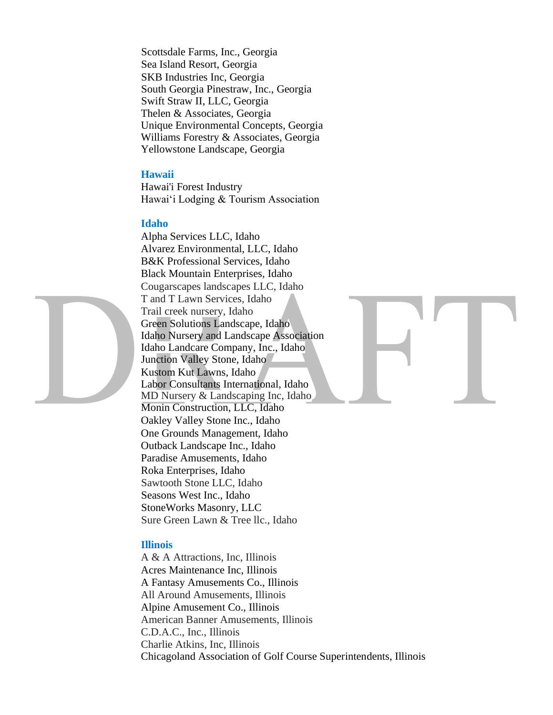Scottsdale Farms, Inc., Georgia Sea Island Resort, Georgia SKB Industries Inc, Georgia South Georgia Pinestraw, Inc., Georgia Swift Straw II, LLC, Georgia Thelen & Associates, Georgia Unique Environmental Concepts, Georgia Williams Forestry & Associates, Georgia Yellowstone Landscape, Georgia

#### **Hawaii**

Hawai'i Forest Industry Hawai'i Lodging & Tourism Association

#### **Idaho**



#### **Illinois**

A & A Attractions, Inc, Illinois Acres Maintenance Inc, Illinois A Fantasy Amusements Co., Illinois All Around Amusements, Illinois Alpine Amusement Co., Illinois American Banner Amusements, Illinois C.D.A.C., Inc., Illinois Charlie Atkins, Inc, Illinois Chicagoland Association of Golf Course Superintendents, Illinois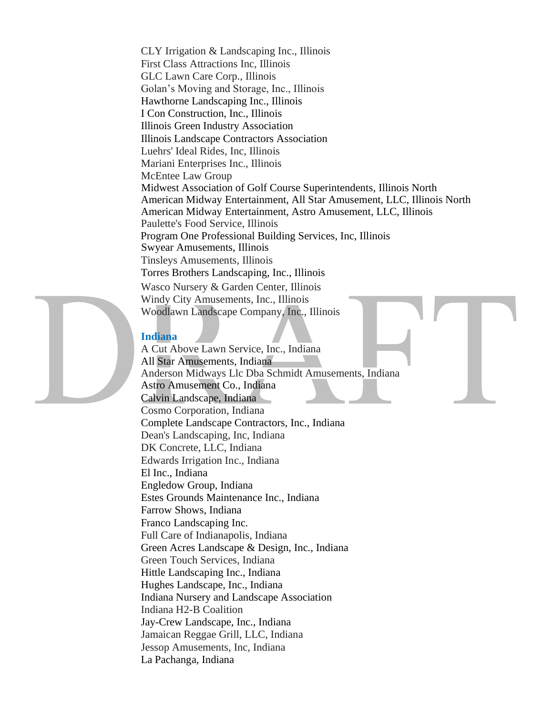CLY Irrigation & Landscaping Inc., Illinois First Class Attractions Inc, Illinois GLC Lawn Care Corp., Illinois Golan's Moving and Storage, Inc., Illinois Hawthorne Landscaping Inc., Illinois I Con Construction, Inc., Illinois Illinois Green Industry Association Illinois Landscape Contractors Association Luehrs' Ideal Rides, Inc, Illinois Mariani Enterprises Inc., Illinois McEntee Law Group Midwest Association of Golf Course Superintendents, Illinois North American Midway Entertainment, All Star Amusement, LLC, Illinois North American Midway Entertainment, Astro Amusement, LLC, Illinois Paulette's Food Service, Illinois Program One Professional Building Services, Inc, Illinois Swyear Amusements, Illinois Tinsleys Amusements, Illinois Torres Brothers Landscaping, Inc., Illinois Wasco Nursery & Garden Center, Illinois Windy City Amusements, Inc., Illinois Woodlawn Landscape Company, Inc., Illinois

# **Indiana**

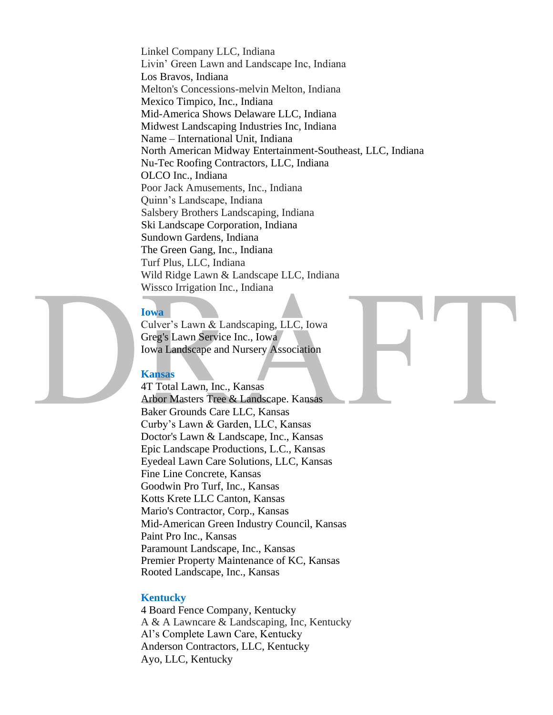Linkel Company LLC, Indiana Livin' Green Lawn and Landscape Inc, Indiana Los Bravos, Indiana Melton's Concessions-melvin Melton, Indiana Mexico Timpico, Inc., Indiana Mid-America Shows Delaware LLC, Indiana Midwest Landscaping Industries Inc, Indiana Name – International Unit, Indiana North American Midway Entertainment-Southeast, LLC, Indiana Nu-Tec Roofing Contractors, LLC, Indiana OLCO Inc., Indiana Poor Jack Amusements, Inc., Indiana Quinn's Landscape, Indiana Salsbery Brothers Landscaping, Indiana Ski Landscape Corporation, Indiana Sundown Gardens, Indiana The Green Gang, Inc., Indiana Turf Plus, LLC, Indiana Wild Ridge Lawn & Landscape LLC, Indiana Wissco Irrigation Inc., Indiana

#### **Iowa**

Culver's Lawn & Landscaping, LLC, Iowa Greg's Lawn Service Inc., Iowa Iowa Landscape and Nursery Association

#### **Kansas**

4T Total Lawn, Inc., Kansas Arbor Masters Tree & Landscape. Kansas Baker Grounds Care LLC, Kansas Curby's Lawn & Garden, LLC, Kansas Doctor's Lawn & Landscape, Inc., Kansas Epic Landscape Productions, L.C., Kansas Eyedeal Lawn Care Solutions, LLC, Kansas Fine Line Concrete, Kansas Goodwin Pro Turf, Inc., Kansas Kotts Krete LLC Canton, Kansas Mario's Contractor, Corp., Kansas Mid-American Green Industry Council, Kansas Paint Pro Inc., Kansas Paramount Landscape, Inc., Kansas Premier Property Maintenance of KC, Kansas Rooted Landscape, Inc., Kansas

#### **Kentucky**

4 Board Fence Company, Kentucky A & A Lawncare & Landscaping, Inc, Kentucky Al's Complete Lawn Care, Kentucky Anderson Contractors, LLC, Kentucky Ayo, LLC, Kentucky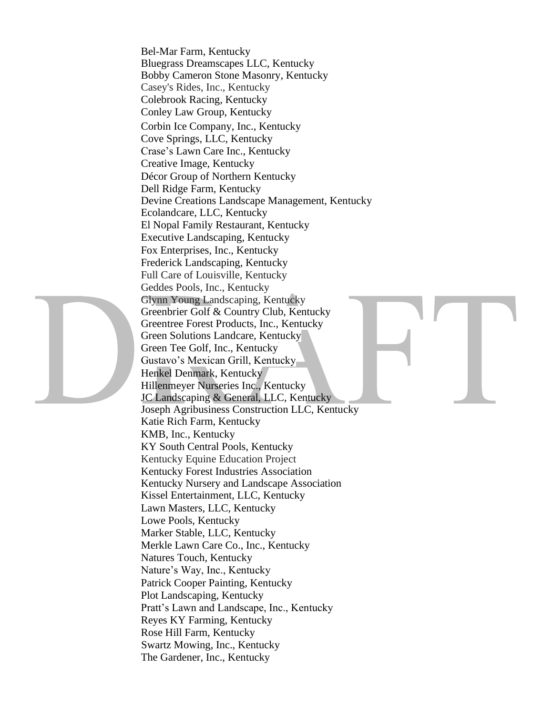Bel-Mar Farm, Kentucky Bluegrass Dreamscapes LLC, Kentucky Bobby Cameron Stone Masonry, Kentucky Casey's Rides, Inc., Kentucky Colebrook Racing, Kentucky Conley Law Group, Kentucky Corbin Ice Company, Inc., Kentucky Cove Springs, LLC, Kentucky Crase's Lawn Care Inc., Kentucky Creative Image, Kentucky Décor Group of Northern Kentucky Dell Ridge Farm, Kentucky Devine Creations Landscape Management, Kentucky Ecolandcare, LLC, Kentucky El Nopal Family Restaurant, Kentucky Executive Landscaping, Kentucky Fox Enterprises, Inc., Kentucky Frederick Landscaping, Kentucky Full Care of Louisville, Kentucky Geddes Pools, Inc., Kentucky Glynn Young Landscaping, Kentucky Greenbrier Golf & Country Club, Kentucky Greentree Forest Products, Inc., Kentucky Green Solutions Landcare, Kentucky Green Tee Golf, Inc., Kentucky Gustavo's Mexican Grill, Kentucky Henkel Denmark, Kentucky Hillenmeyer Nurseries Inc., Kentucky JC Landscaping & General, LLC, Kentucky Joseph Agribusiness Construction LLC, Kentucky Katie Rich Farm, Kentucky KMB, Inc., Kentucky KY South Central Pools, Kentucky Kentucky Equine Education Project Kentucky Forest Industries Association Kentucky Nursery and Landscape Association Kissel Entertainment, LLC, Kentucky Lawn Masters, LLC, Kentucky Lowe Pools, Kentucky Marker Stable, LLC, Kentucky Merkle Lawn Care Co., Inc., Kentucky Natures Touch, Kentucky Nature's Way, Inc., Kentucky Patrick Cooper Painting, Kentucky Plot Landscaping, Kentucky Pratt's Lawn and Landscape, Inc., Kentucky Reyes KY Farming, Kentucky Rose Hill Farm, Kentucky Swartz Mowing, Inc., Kentucky The Gardener, Inc., Kentucky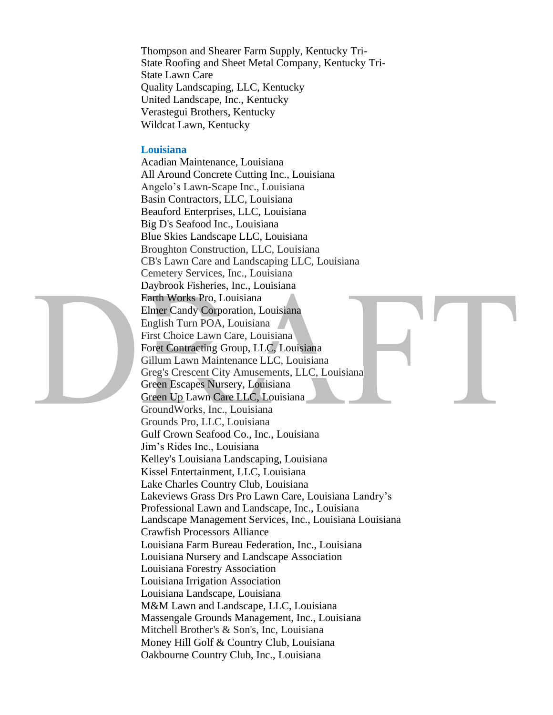Thompson and Shearer Farm Supply, Kentucky Tri-State Roofing and Sheet Metal Company, Kentucky Tri-State Lawn Care Quality Landscaping, LLC, Kentucky United Landscape, Inc., Kentucky Verastegui Brothers, Kentucky Wildcat Lawn, Kentucky

# **Louisiana**

Acadian Maintenance, Louisiana All Around Concrete Cutting Inc., Louisiana Angelo's Lawn-Scape Inc., Louisiana Basin Contractors, LLC, Louisiana Beauford Enterprises, LLC, Louisiana Big D's Seafood Inc., Louisiana Blue Skies Landscape LLC, Louisiana Broughton Construction, LLC, Louisiana CB's Lawn Care and Landscaping LLC, Louisiana Cemetery Services, Inc., Louisiana Daybrook Fisheries, Inc., Louisiana Earth Works Pro, Louisiana Elmer Candy Corporation, Louisiana English Turn POA, Louisiana First Choice Lawn Care, Louisiana Foret Contracting Group, LLC, Louisiana Gillum Lawn Maintenance LLC, Louisiana Greg's Crescent City Amusements, LLC, Louisiana Green Escapes Nursery, Louisiana Green Up Lawn Care LLC, Louisiana GroundWorks, Inc., Louisiana Grounds Pro, LLC, Louisiana Gulf Crown Seafood Co., Inc., Louisiana Jim's Rides Inc., Louisiana Kelley's Louisiana Landscaping, Louisiana Kissel Entertainment, LLC, Louisiana Lake Charles Country Club, Louisiana Lakeviews Grass Drs Pro Lawn Care, Louisiana Landry's Professional Lawn and Landscape, Inc., Louisiana Landscape Management Services, Inc., Louisiana Louisiana Crawfish Processors Alliance Louisiana Farm Bureau Federation, Inc., Louisiana Louisiana Nursery and Landscape Association Louisiana Forestry Association Louisiana Irrigation Association Louisiana Landscape, Louisiana M&M Lawn and Landscape, LLC, Louisiana Massengale Grounds Management, Inc., Louisiana Mitchell Brother's & Son's, Inc, Louisiana Money Hill Golf & Country Club, Louisiana Oakbourne Country Club, Inc., Louisiana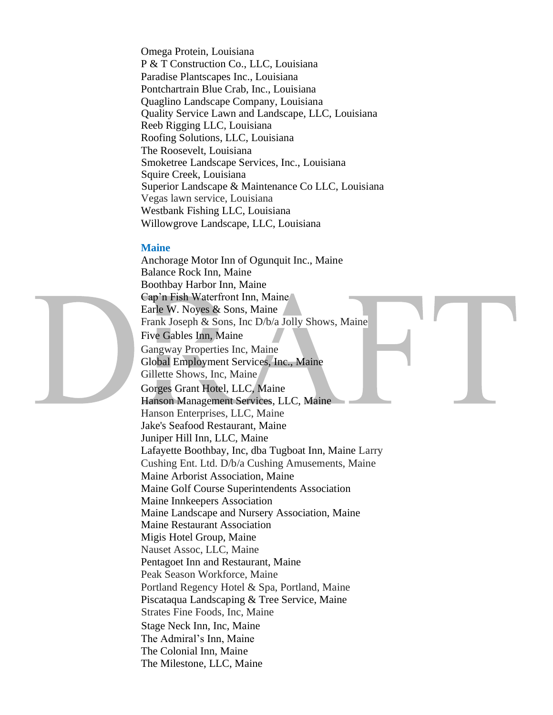Omega Protein, Louisiana P & T Construction Co., LLC, Louisiana Paradise Plantscapes Inc., Louisiana Pontchartrain Blue Crab, Inc., Louisiana Quaglino Landscape Company, Louisiana Quality Service Lawn and Landscape, LLC, Louisiana Reeb Rigging LLC, Louisiana Roofing Solutions, LLC, Louisiana The Roosevelt, Louisiana Smoketree Landscape Services, Inc., Louisiana Squire Creek, Louisiana Superior Landscape & Maintenance Co LLC, Louisiana Vegas lawn service, Louisiana Westbank Fishing LLC, Louisiana Willowgrove Landscape, LLC, Louisiana

#### **Maine**

Anchorage Motor Inn of Ogunquit Inc., Maine Balance Rock Inn, Maine Boothbay Harbor Inn, Maine Cap'n Fish Waterfront Inn, Maine Earle W. Noyes & Sons, Maine Frank Joseph & Sons, Inc D/b/a Jolly Shows, Maine Five Gables Inn, Maine Gangway Properties Inc, Maine Global Employment Services, Inc., Maine Gillette Shows, Inc, Maine Gorges Grant Hotel, LLC, Maine Hanson Management Services, LLC, Maine Hanson Enterprises, LLC, Maine Jake's Seafood Restaurant, Maine Juniper Hill Inn, LLC, Maine Lafayette Boothbay, Inc, dba Tugboat Inn, Maine Larry Cushing Ent. Ltd. D/b/a Cushing Amusements, Maine Maine Arborist Association, Maine Maine Golf Course Superintendents Association Maine Innkeepers Association Maine Landscape and Nursery Association, Maine Maine Restaurant Association Migis Hotel Group, Maine Nauset Assoc, LLC, Maine Pentagoet Inn and Restaurant, Maine Peak Season Workforce, Maine Portland Regency Hotel & Spa, Portland, Maine Piscataqua Landscaping & Tree Service, Maine Strates Fine Foods, Inc, Maine Stage Neck Inn, Inc, Maine The Admiral's Inn, Maine The Colonial Inn, Maine The Milestone, LLC, Maine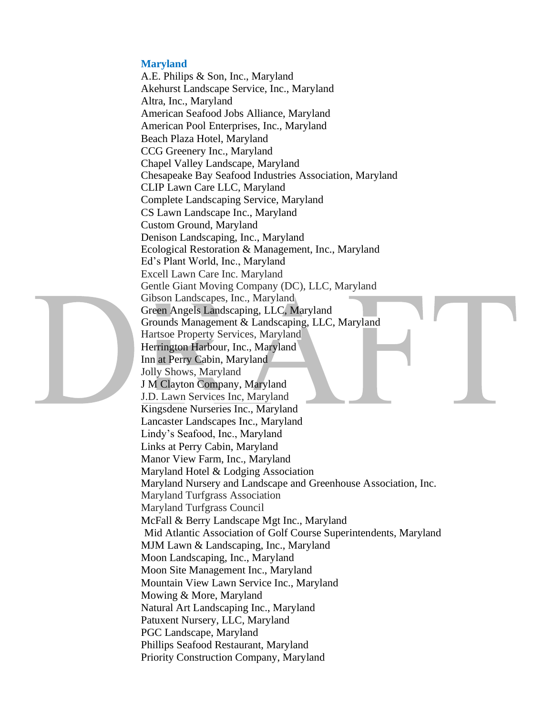#### **Maryland**

A.E. Philips & Son, Inc., Maryland Akehurst Landscape Service, Inc., Maryland Altra, Inc., Maryland American Seafood Jobs Alliance, Maryland American Pool Enterprises, Inc., Maryland Beach Plaza Hotel, Maryland CCG Greenery Inc., Maryland Chapel Valley Landscape, Maryland Chesapeake Bay Seafood Industries Association, Maryland CLIP Lawn Care LLC, Maryland Complete Landscaping Service, Maryland CS Lawn Landscape Inc., Maryland Custom Ground, Maryland Denison Landscaping, Inc., Maryland Ecological Restoration & Management, Inc., Maryland Ed's Plant World, Inc., Maryland Excell Lawn Care Inc. Maryland Gentle Giant Moving Company (DC), LLC, Maryland Gibson Landscapes, Inc., Maryland Green Angels Landscaping, LLC, Maryland Grounds Management & Landscaping, LLC, Maryland Hartsoe Property Services, Maryland Herrington Harbour, Inc., Maryland Inn at Perry Cabin, Maryland Jolly Shows, Maryland J M Clayton Company, Maryland J.D. Lawn Services Inc, Maryland Kingsdene Nurseries Inc., Maryland Lancaster Landscapes Inc., Maryland Lindy's Seafood, Inc., Maryland Links at Perry Cabin, Maryland Manor View Farm, Inc., Maryland Maryland Hotel & Lodging Association Maryland Nursery and Landscape and Greenhouse Association, Inc. Maryland Turfgrass Association Maryland Turfgrass Council McFall & Berry Landscape Mgt Inc., Maryland Mid Atlantic Association of Golf Course Superintendents, Maryland MJM Lawn & Landscaping, Inc., Maryland Moon Landscaping, Inc., Maryland Moon Site Management Inc., Maryland Mountain View Lawn Service Inc., Maryland Mowing & More, Maryland Natural Art Landscaping Inc., Maryland Patuxent Nursery, LLC, Maryland PGC Landscape, Maryland Phillips Seafood Restaurant, Maryland Priority Construction Company, Maryland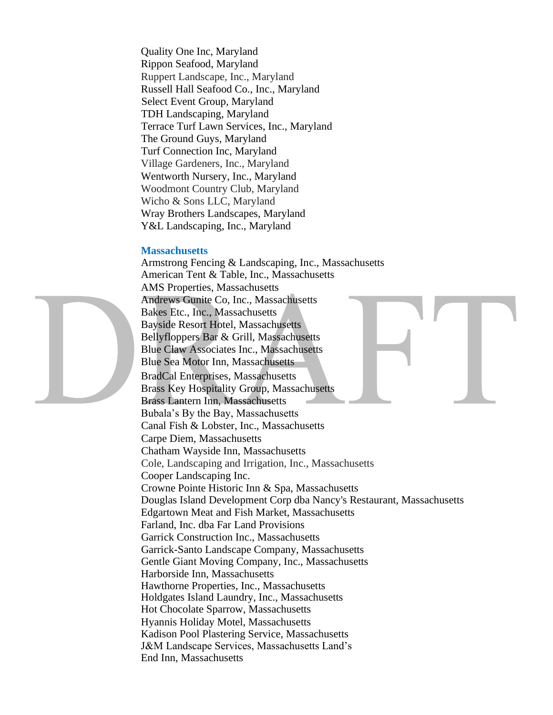Quality One Inc, Maryland Rippon Seafood, Maryland Ruppert Landscape, Inc., Maryland Russell Hall Seafood Co., Inc., Maryland Select Event Group, Maryland TDH Landscaping, Maryland Terrace Turf Lawn Services, Inc., Maryland The Ground Guys, Maryland Turf Connection Inc, Maryland Village Gardeners, Inc., Maryland Wentworth Nursery, Inc., Maryland Woodmont Country Club, Maryland Wicho & Sons LLC, Maryland Wray Brothers Landscapes, Maryland Y&L Landscaping, Inc., Maryland

#### **Massachusetts**

Armstrong Fencing & Landscaping, Inc., Massachusetts American Tent & Table, Inc., Massachusetts AMS Properties, Massachusetts Andrews Gunite Co, Inc., Massachusetts Bakes Etc., Inc., Massachusetts Bayside Resort Hotel, Massachusetts Bellyfloppers Bar & Grill, Massachusetts Blue Claw Associates Inc., Massachusetts Blue Sea Motor Inn, Massachusetts BradCal Enterprises, Massachusetts Brass Key Hospitality Group, Massachusetts Brass Lantern Inn, Massachusetts Bubala's By the Bay, Massachusetts Canal Fish & Lobster, Inc., Massachusetts Carpe Diem, Massachusetts Chatham Wayside Inn, Massachusetts Cole, Landscaping and Irrigation, Inc., Massachusetts Cooper Landscaping Inc. Crowne Pointe Historic Inn & Spa, Massachusetts Douglas Island Development Corp dba Nancy's Restaurant, Massachusetts Edgartown Meat and Fish Market, Massachusetts Farland, Inc. dba Far Land Provisions Garrick Construction Inc., Massachusetts Garrick-Santo Landscape Company, Massachusetts Gentle Giant Moving Company, Inc., Massachusetts Harborside Inn, Massachusetts Hawthorne Properties, Inc., Massachusetts Holdgates Island Laundry, Inc., Massachusetts Hot Chocolate Sparrow, Massachusetts Hyannis Holiday Motel, Massachusetts Kadison Pool Plastering Service, Massachusetts J&M Landscape Services, Massachusetts Land's End Inn, Massachusetts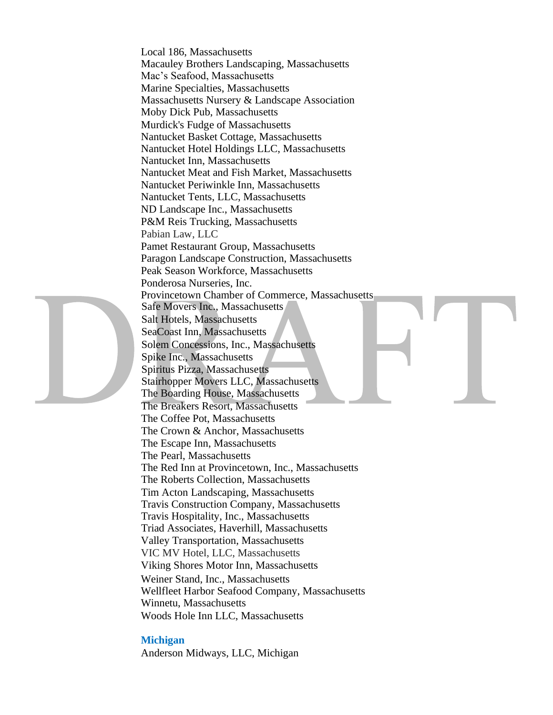Local 186, Massachusetts Macauley Brothers Landscaping, Massachusetts Mac's Seafood, Massachusetts Marine Specialties, Massachusetts Massachusetts Nursery & Landscape Association Moby Dick Pub, Massachusetts Murdick's Fudge of Massachusetts Nantucket Basket Cottage, Massachusetts Nantucket Hotel Holdings LLC, Massachusetts Nantucket Inn, Massachusetts Nantucket Meat and Fish Market, Massachusetts Nantucket Periwinkle Inn, Massachusetts Nantucket Tents, LLC, Massachusetts ND Landscape Inc., Massachusetts P&M Reis Trucking, Massachusetts Pabian Law, LLC Pamet Restaurant Group, Massachusetts Paragon Landscape Construction, Massachusetts Peak Season Workforce, Massachusetts Ponderosa Nurseries, Inc. Provincetown Chamber of Commerce, Massachusetts Safe Movers Inc., Massachusetts Salt Hotels, Massachusetts SeaCoast Inn, Massachusetts Solem Concessions, Inc., Massachusetts Spike Inc., Massachusetts Spiritus Pizza, Massachusetts Stairhopper Movers LLC, Massachusetts The Boarding House, Massachusetts The Breakers Resort, Massachusetts The Coffee Pot, Massachusetts The Crown & Anchor, Massachusetts The Escape Inn, Massachusetts The Pearl, Massachusetts The Red Inn at Provincetown, Inc., Massachusetts The Roberts Collection, Massachusetts Tim Acton Landscaping, Massachusetts Travis Construction Company, Massachusetts Travis Hospitality, Inc., Massachusetts Triad Associates, Haverhill, Massachusetts Valley Transportation, Massachusetts VIC MV Hotel, LLC, Massachusetts Viking Shores Motor Inn, Massachusetts Weiner Stand, Inc., Massachusetts Wellfleet Harbor Seafood Company, Massachusetts Winnetu, Massachusetts Woods Hole Inn LLC, Massachusetts

#### **Michigan**

Anderson Midways, LLC, Michigan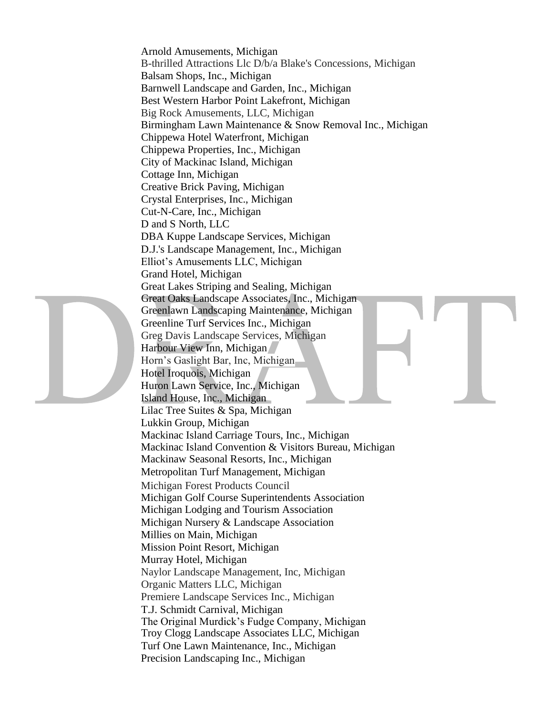Arnold Amusements, Michigan B-thrilled Attractions Llc D/b/a Blake's Concessions, Michigan Balsam Shops, Inc., Michigan Barnwell Landscape and Garden, Inc., Michigan Best Western Harbor Point Lakefront, Michigan Big Rock Amusements, LLC, Michigan Birmingham Lawn Maintenance & Snow Removal Inc., Michigan Chippewa Hotel Waterfront, Michigan Chippewa Properties, Inc., Michigan City of Mackinac Island, Michigan Cottage Inn, Michigan Creative Brick Paving, Michigan Crystal Enterprises, Inc., Michigan Cut-N-Care, Inc., Michigan D and S North, LLC DBA Kuppe Landscape Services, Michigan D.J.'s Landscape Management, Inc., Michigan Elliot's Amusements LLC, Michigan Grand Hotel, Michigan Great Lakes Striping and Sealing, Michigan Great Oaks Landscape Associates, Inc., Michigan Greenlawn Landscaping Maintenance, Michigan Greenline Turf Services Inc., Michigan Greg Davis Landscape Services, Michigan Harbour View Inn, Michigan Horn's Gaslight Bar, Inc, Michigan Hotel Iroquois, Michigan Huron Lawn Service, Inc., Michigan Island House, Inc., Michigan Lilac Tree Suites & Spa, Michigan Lukkin Group, Michigan Mackinac Island Carriage Tours, Inc., Michigan Mackinac Island Convention & Visitors Bureau, Michigan Mackinaw Seasonal Resorts, Inc., Michigan Metropolitan Turf Management, Michigan Michigan Forest Products Council Michigan Golf Course Superintendents Association Michigan Lodging and Tourism Association Michigan Nursery & Landscape Association Millies on Main, Michigan Mission Point Resort, Michigan Murray Hotel, Michigan Naylor Landscape Management, Inc, Michigan Organic Matters LLC, Michigan Premiere Landscape Services Inc., Michigan T.J. Schmidt Carnival, Michigan The Original Murdick's Fudge Company, Michigan Troy Clogg Landscape Associates LLC, Michigan Turf One Lawn Maintenance, Inc., Michigan Precision Landscaping Inc., Michigan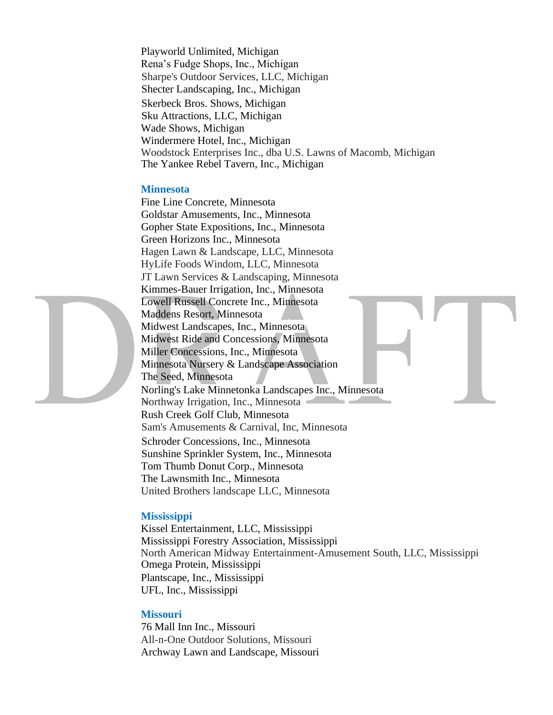Playworld Unlimited, Michigan Rena's Fudge Shops, Inc., Michigan Sharpe's Outdoor Services, LLC, Michigan Shecter Landscaping, Inc., Michigan Skerbeck Bros. Shows, Michigan Sku Attractions, LLC, Michigan Wade Shows, Michigan Windermere Hotel, Inc., Michigan Woodstock Enterprises Inc., dba U.S. Lawns of Macomb, Michigan The Yankee Rebel Tavern, Inc., Michigan

#### **Minnesota**

Fine Line Concrete, Minnesota Goldstar Amusements, Inc., Minnesota Gopher State Expositions, Inc., Minnesota Green Horizons Inc., Minnesota Hagen Lawn & Landscape, LLC, Minnesota HyLife Foods Windom, LLC, Minnesota JT Lawn Services & Landscaping, Minnesota Kimmes-Bauer Irrigation, Inc., Minnesota Lowell Russell Concrete Inc., Minnesota Maddens Resort, Minnesota Midwest Landscapes, Inc., Minnesota Midwest Ride and Concessions, Minnesota Miller Concessions, Inc., Minnesota Minnesota Nursery & Landscape Association The Seed, Minnesota Norling's Lake Minnetonka Landscapes Inc., Minnesota Northway Irrigation, Inc., Minnesota Rush Creek Golf Club, Minnesota Sam's Amusements & Carnival, Inc, Minnesota Schroder Concessions, Inc., Minnesota Sunshine Sprinkler System, Inc., Minnesota Tom Thumb Donut Corp., Minnesota The Lawnsmith Inc., Minnesota United Brothers landscape LLC, Minnesota

#### **Mississippi**

Kissel Entertainment, LLC, Mississippi Mississippi Forestry Association, Mississippi North American Midway Entertainment-Amusement South, LLC, Mississippi Omega Protein, Mississippi Plantscape, Inc., Mississippi UFL, Inc., Mississippi

#### **Missouri**

76 Mall Inn Inc., Missouri All-n-One Outdoor Solutions, Missouri Archway Lawn and Landscape, Missouri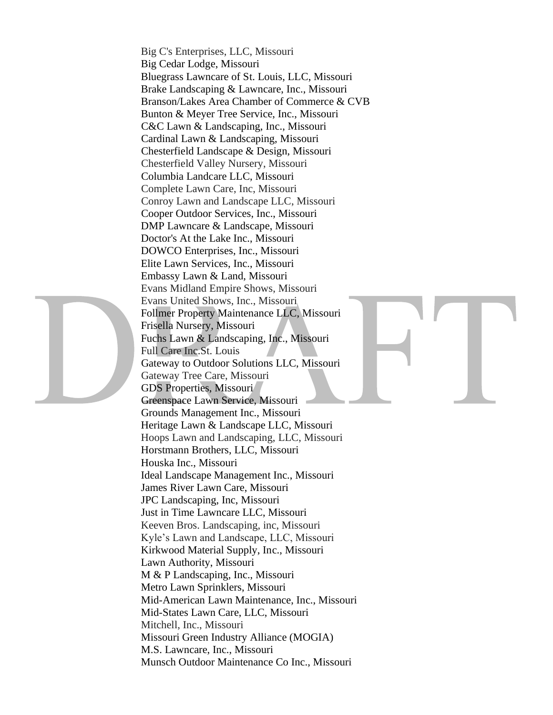Big C's Enterprises, LLC, Missouri Big Cedar Lodge, Missouri Bluegrass Lawncare of St. Louis, LLC, Missouri Brake Landscaping & Lawncare, Inc., Missouri Branson/Lakes Area Chamber of Commerce & CVB Bunton & Meyer Tree Service, Inc., Missouri C&C Lawn & Landscaping, Inc., Missouri Cardinal Lawn & Landscaping, Missouri Chesterfield Landscape & Design, Missouri Chesterfield Valley Nursery, Missouri Columbia Landcare LLC, Missouri Complete Lawn Care, Inc, Missouri Conroy Lawn and Landscape LLC, Missouri Cooper Outdoor Services, Inc., Missouri DMP Lawncare & Landscape, Missouri Doctor's At the Lake Inc., Missouri DOWCO Enterprises, Inc., Missouri Elite Lawn Services, Inc., Missouri Embassy Lawn & Land, Missouri Evans Midland Empire Shows, Missouri Evans United Shows, Inc., Missouri Follmer Property Maintenance LLC, Missouri Frisella Nursery, Missouri Fuchs Lawn & Landscaping, Inc., Missouri Full Care Inc.St. Louis Gateway to Outdoor Solutions LLC, Missouri Gateway Tree Care, Missouri GDS Properties, Missouri Greenspace Lawn Service, Missouri Grounds Management Inc., Missouri Heritage Lawn & Landscape LLC, Missouri Hoops Lawn and Landscaping, LLC, Missouri Horstmann Brothers, LLC, Missouri Houska Inc., Missouri Ideal Landscape Management Inc., Missouri James River Lawn Care, Missouri JPC Landscaping, Inc, Missouri Just in Time Lawncare LLC, Missouri Keeven Bros. Landscaping, inc, Missouri Kyle's Lawn and Landscape, LLC, Missouri Kirkwood Material Supply, Inc., Missouri Lawn Authority, Missouri M & P Landscaping, Inc., Missouri Metro Lawn Sprinklers, Missouri Mid-American Lawn Maintenance, Inc., Missouri Mid-States Lawn Care, LLC, Missouri Mitchell, Inc., Missouri Missouri Green Industry Alliance (MOGIA) M.S. Lawncare, Inc., Missouri Munsch Outdoor Maintenance Co Inc., Missouri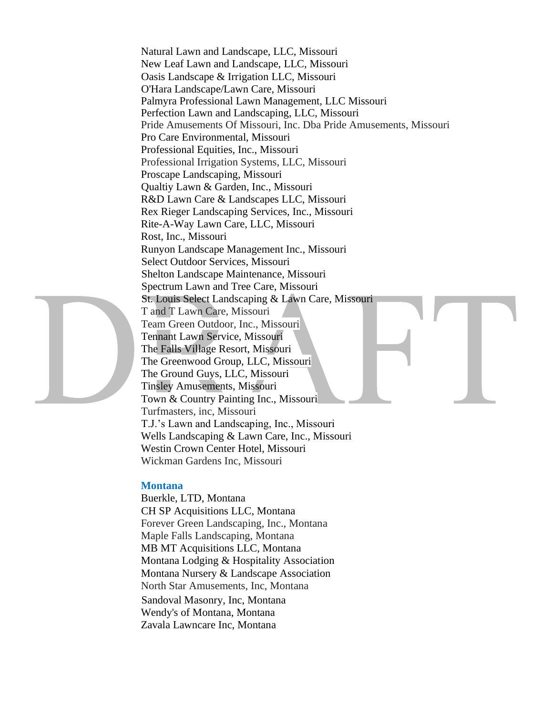Natural Lawn and Landscape, LLC, Missouri New Leaf Lawn and Landscape, LLC, Missouri Oasis Landscape & Irrigation LLC, Missouri O'Hara Landscape/Lawn Care, Missouri Palmyra Professional Lawn Management, LLC Missouri Perfection Lawn and Landscaping, LLC, Missouri Pride Amusements Of Missouri, Inc. Dba Pride Amusements, Missouri Pro Care Environmental, Missouri Professional Equities, Inc., Missouri Professional Irrigation Systems, LLC, Missouri Proscape Landscaping, Missouri Qualtiy Lawn & Garden, Inc., Missouri R&D Lawn Care & Landscapes LLC, Missouri Rex Rieger Landscaping Services, Inc., Missouri Rite-A-Way Lawn Care, LLC, Missouri Rost, Inc., Missouri Runyon Landscape Management Inc., Missouri Select Outdoor Services, Missouri Shelton Landscape Maintenance, Missouri Spectrum Lawn and Tree Care, Missouri St. Louis Select Landscaping & Lawn Care, Missouri T and T Lawn Care, Missouri Team Green Outdoor, Inc., Missouri Tennant Lawn Service, Missouri The Falls Village Resort, Missouri The Greenwood Group, LLC, Missouri The Ground Guys, LLC, Missouri Tinsley Amusements, Missouri Town & Country Painting Inc., Missouri Turfmasters, inc, Missouri T.J.'s Lawn and Landscaping, Inc., Missouri Wells Landscaping & Lawn Care, Inc., Missouri Westin Crown Center Hotel, Missouri Wickman Gardens Inc, Missouri

#### **Montana**

Buerkle, LTD, Montana CH SP Acquisitions LLC, Montana Forever Green Landscaping, Inc., Montana Maple Falls Landscaping, Montana MB MT Acquisitions LLC, Montana Montana Lodging & Hospitality Association Montana Nursery & Landscape Association North Star Amusements, Inc, Montana Sandoval Masonry, Inc, Montana Wendy's of Montana, Montana Zavala Lawncare Inc, Montana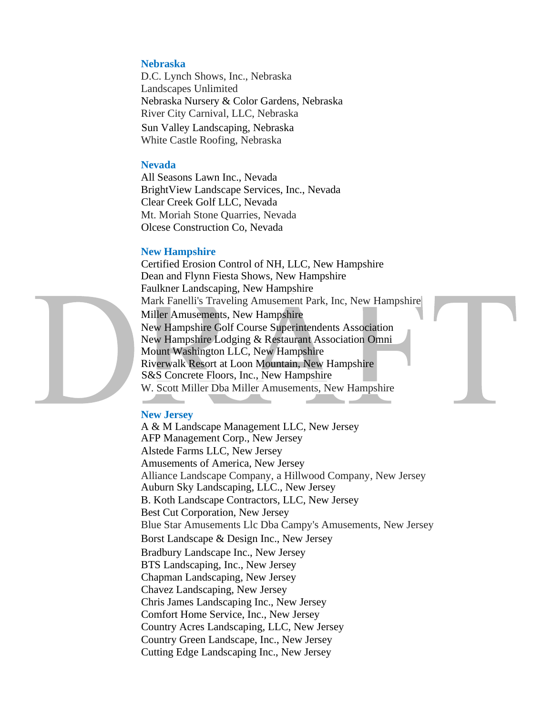#### **Nebraska**

D.C. Lynch Shows, Inc., Nebraska Landscapes Unlimited Nebraska Nursery & Color Gardens, Nebraska River City Carnival, LLC, Nebraska Sun Valley Landscaping, Nebraska White Castle Roofing, Nebraska

#### **Nevada**

All Seasons Lawn Inc., Nevada BrightView Landscape Services, Inc., Nevada Clear Creek Golf LLC, Nevada Mt. Moriah Stone Quarries, Nevada Olcese Construction Co, Nevada

#### **New Hampshire**

Certified Erosion Control of NH, LLC, New Hampshire Dean and Flynn Fiesta Shows, New Hampshire Faulkner Landscaping, New Hampshire Mark Fanelli's Traveling Amusement Park, Inc, New Hampshire Miller Amusements, New Hampshire New Hampshire Golf Course Superintendents Association New Hampshire Lodging & Restaurant Association Omni Mount Washington LLC, New Hampshire Riverwalk Resort at Loon Mountain, New Hampshire S&S Concrete Floors, Inc., New Hampshire W. Scott Miller Dba Miller Amusements, New Hampshire

#### **New Jersey**

A & M Landscape Management LLC, New Jersey AFP Management Corp., New Jersey Alstede Farms LLC, New Jersey Amusements of America, New Jersey Alliance Landscape Company, a Hillwood Company, New Jersey Auburn Sky Landscaping, LLC., New Jersey B. Koth Landscape Contractors, LLC, New Jersey Best Cut Corporation, New Jersey Blue Star Amusements Llc Dba Campy's Amusements, New Jersey Borst Landscape & Design Inc., New Jersey Bradbury Landscape Inc., New Jersey BTS Landscaping, Inc., New Jersey Chapman Landscaping, New Jersey Chavez Landscaping, New Jersey Chris James Landscaping Inc., New Jersey Comfort Home Service, Inc., New Jersey Country Acres Landscaping, LLC, New Jersey Country Green Landscape, Inc., New Jersey Cutting Edge Landscaping Inc., New Jersey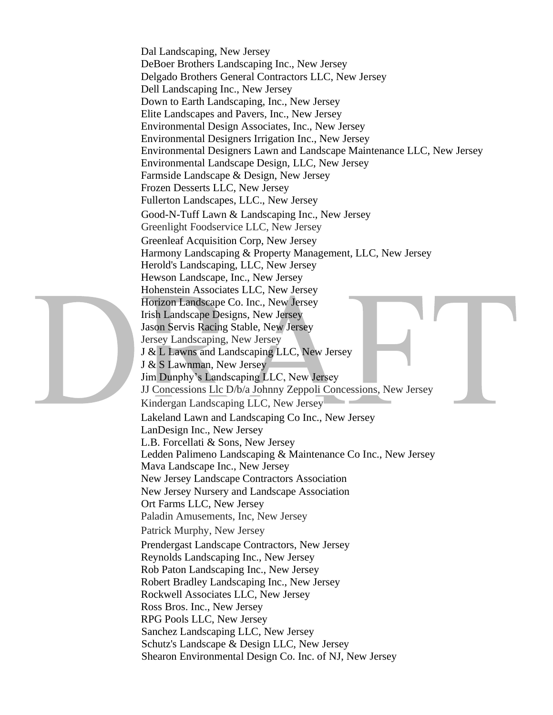Dal Landscaping, New Jersey DeBoer Brothers Landscaping Inc., New Jersey Delgado Brothers General Contractors LLC, New Jersey Dell Landscaping Inc., New Jersey Down to Earth Landscaping, Inc., New Jersey Elite Landscapes and Pavers, Inc., New Jersey Environmental Design Associates, Inc., New Jersey Environmental Designers Irrigation Inc., New Jersey Environmental Designers Lawn and Landscape Maintenance LLC, New Jersey Environmental Landscape Design, LLC, New Jersey Farmside Landscape & Design, New Jersey Frozen Desserts LLC, New Jersey Fullerton Landscapes, LLC., New Jersey Good-N-Tuff Lawn & Landscaping Inc., New Jersey Greenlight Foodservice LLC, New Jersey Greenleaf Acquisition Corp, New Jersey Harmony Landscaping & Property Management, LLC, New Jersey Herold's Landscaping, LLC, New Jersey Hewson Landscape, Inc., New Jersey Hohenstein Associates LLC, New Jersey Horizon Landscape Co. Inc., New Jersey Irish Landscape Designs, New Jersey Jason Servis Racing Stable, New Jersey Jersey Landscaping, New Jersey J & L Lawns and Landscaping LLC, New Jersey J & S Lawnman, New Jersey Jim Dunphy's Landscaping LLC, New Jersey JJ Concessions Llc D/b/a Johnny Zeppoli Concessions, New Jersey Kindergan Landscaping LLC, New Jersey Lakeland Lawn and Landscaping Co Inc., New Jersey LanDesign Inc., New Jersey L.B. Forcellati & Sons, New Jersey Ledden Palimeno Landscaping & Maintenance Co Inc., New Jersey Mava Landscape Inc., New Jersey New Jersey Landscape Contractors Association New Jersey Nursery and Landscape Association Ort Farms LLC, New Jersey Paladin Amusements, Inc, New Jersey Patrick Murphy, New Jersey Prendergast Landscape Contractors, New Jersey Reynolds Landscaping Inc., New Jersey Rob Paton Landscaping Inc., New Jersey Robert Bradley Landscaping Inc., New Jersey Rockwell Associates LLC, New Jersey Ross Bros. Inc., New Jersey RPG Pools LLC, New Jersey Sanchez Landscaping LLC, New Jersey Schutz's Landscape & Design LLC, New Jersey Shearon Environmental Design Co. Inc. of NJ, New Jersey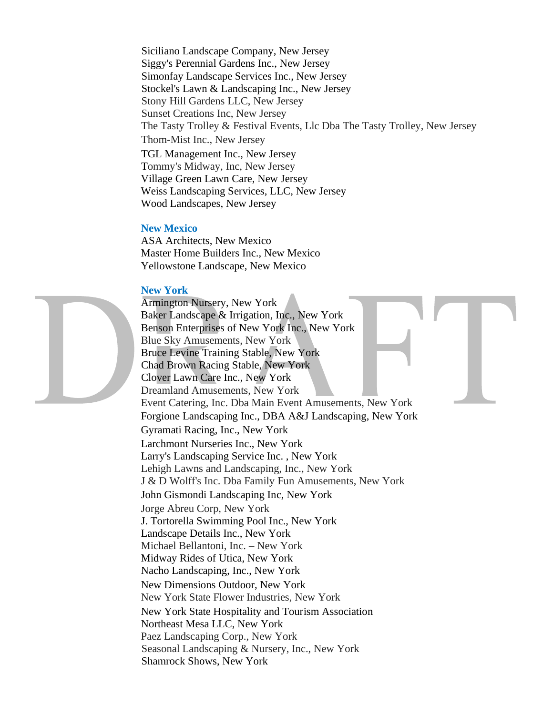Siciliano Landscape Company, New Jersey Siggy's Perennial Gardens Inc., New Jersey Simonfay Landscape Services Inc., New Jersey Stockel's Lawn & Landscaping Inc., New Jersey Stony Hill Gardens LLC, New Jersey Sunset Creations Inc, New Jersey The Tasty Trolley & Festival Events, Llc Dba The Tasty Trolley, New Jersey Thom-Mist Inc., New Jersey TGL Management Inc., New Jersey Tommy's Midway, Inc, New Jersey Village Green Lawn Care, New Jersey Weiss Landscaping Services, LLC, New Jersey Wood Landscapes, New Jersey

#### **New Mexico**

ASA Architects, New Mexico Master Home Builders Inc., New Mexico Yellowstone Landscape, New Mexico

#### **New York**

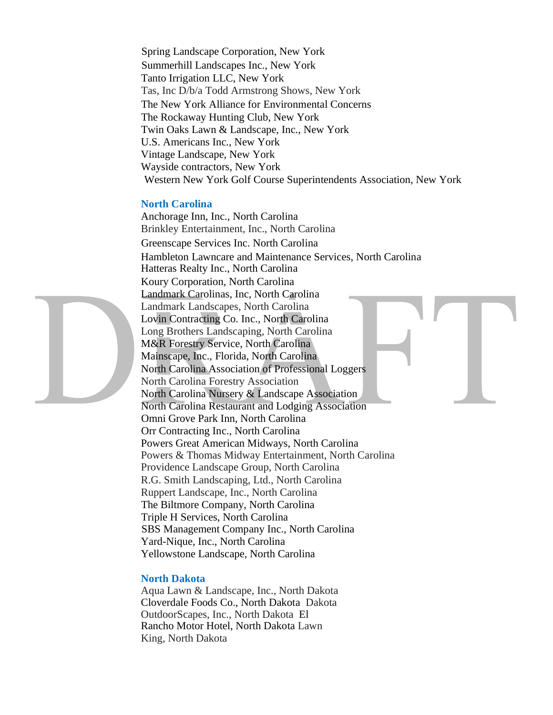Spring Landscape Corporation, New York Summerhill Landscapes Inc., New York Tanto Irrigation LLC, New York Tas, Inc D/b/a Todd Armstrong Shows, New York The New York Alliance for Environmental Concerns The Rockaway Hunting Club, New York Twin Oaks Lawn & Landscape, Inc., New York U.S. Americans Inc., New York Vintage Landscape, New York Wayside contractors, New York Western New York Golf Course Superintendents Association, New York

# **North Carolina**

Anchorage Inn, Inc., North Carolina Brinkley Entertainment, Inc., North Carolina Greenscape Services Inc. North Carolina Hambleton Lawncare and Maintenance Services, North Carolina Hatteras Realty Inc., North Carolina Koury Corporation, North Carolina Landmark Carolinas, Inc, North Carolina Landmark Landscapes, North Carolina Lovin Contracting Co. Inc., North Carolina Long Brothers Landscaping, North Carolina M&R Forestry Service, North Carolina Mainscape, Inc., Florida, North Carolina North Carolina Association of Professional Loggers North Carolina Forestry Association North Carolina Nursery & Landscape Association North Carolina Restaurant and Lodging Association Omni Grove Park Inn, North Carolina Orr Contracting Inc., North Carolina Powers Great American Midways, North Carolina Powers & Thomas Midway Entertainment, North Carolina Providence Landscape Group, North Carolina R.G. Smith Landscaping, Ltd., North Carolina Ruppert Landscape, Inc., North Carolina The Biltmore Company, North Carolina Triple H Services, North Carolina SBS Management Company Inc., North Carolina Yard-Nique, Inc., North Carolina Yellowstone Landscape, North Carolina

# **North Dakota**

Aqua Lawn & Landscape, Inc., North Dakota Cloverdale Foods Co., North Dakota Dakota OutdoorScapes, Inc., North Dakota El Rancho Motor Hotel, North Dakota Lawn King, North Dakota

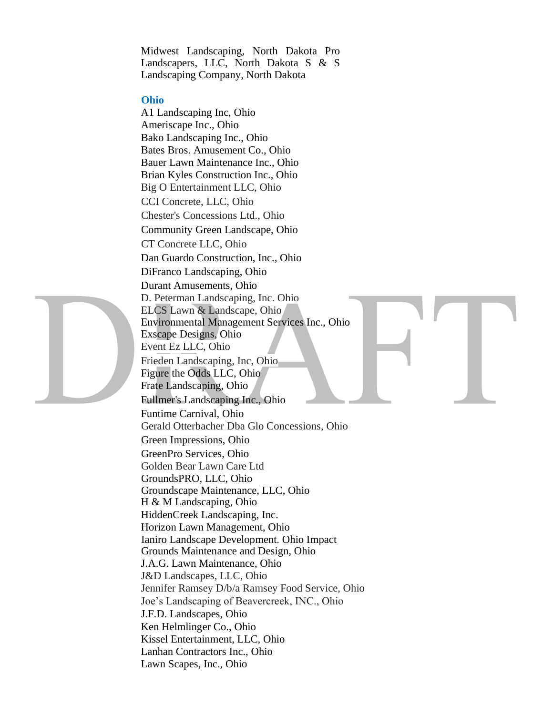Midwest Landscaping, North Dakota Pro Landscapers, LLC, North Dakota S & S Landscaping Company, North Dakota

#### **Ohio**

A1 Landscaping Inc, Ohio Ameriscape Inc., Ohio Bako Landscaping Inc., Ohio Bates Bros. Amusement Co., Ohio Bauer Lawn Maintenance Inc., Ohio Brian Kyles Construction Inc., Ohio Big O Entertainment LLC, Ohio CCI Concrete, LLC, Ohio Chester's Concessions Ltd., Ohio Community Green Landscape, Ohio CT Concrete LLC, Ohio Dan Guardo Construction, Inc., Ohio DiFranco Landscaping, Ohio Durant Amusements, Ohio D. Peterman Landscaping, Inc. Ohio ELCS Lawn & Landscape, Ohio Environmental Management Services Inc., Ohio Exscape Designs, Ohio Event Ez LLC, Ohio Frieden Landscaping, Inc, Ohio Figure the Odds LLC, Ohio Frate Landscaping, Ohio Fullmer's Landscaping Inc., Ohio Funtime Carnival, Ohio Gerald Otterbacher Dba Glo Concessions, Ohio Green Impressions, Ohio GreenPro Services, Ohio Golden Bear Lawn Care Ltd GroundsPRO, LLC, Ohio Groundscape Maintenance, LLC, Ohio H & M Landscaping, Ohio HiddenCreek Landscaping, Inc. Horizon Lawn Management, Ohio Ianiro Landscape Development. Ohio Impact Grounds Maintenance and Design, Ohio J.A.G. Lawn Maintenance, Ohio J&D Landscapes, LLC, Ohio Jennifer Ramsey D/b/a Ramsey Food Service, Ohio Joe's Landscaping of Beavercreek, INC., Ohio J.F.D. Landscapes, Ohio Ken Helmlinger Co., Ohio Kissel Entertainment, LLC, Ohio Lanhan Contractors Inc., Ohio Lawn Scapes, Inc., Ohio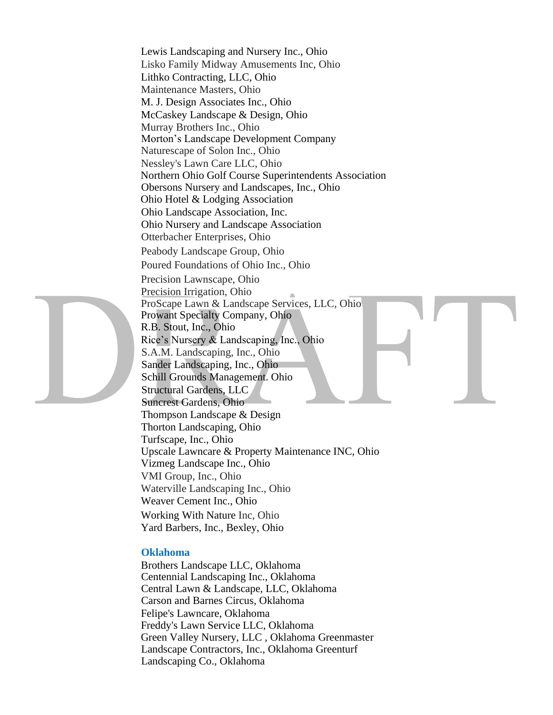Lewis Landscaping and Nursery Inc., Ohio Lisko Family Midway Amusements Inc, Ohio Lithko Contracting, LLC, Ohio Maintenance Masters, Ohio M. J. Design Associates Inc., Ohio McCaskey Landscape & Design, Ohio Murray Brothers Inc., Ohio Morton's Landscape Development Company Naturescape of Solon Inc., Ohio Nessley's Lawn Care LLC, Ohio Northern Ohio Golf Course Superintendents Association Obersons Nursery and Landscapes, Inc., Ohio Ohio Hotel & Lodging Association Ohio Landscape Association, Inc. Ohio Nursery and Landscape Association Otterbacher Enterprises, Ohio Peabody Landscape Group, Ohio Poured Foundations of Ohio Inc., Ohio Precision Lawnscape, Ohio Precision Irrigation, Ohio ProScape Lawn & Landscape Services, LLC, Ohio Prowant Specialty Company, Ohio R.B. Stout, Inc., Ohio Rice's Nursery & Landscaping, Inc., Ohio S.A.M. Landscaping, Inc., Ohio Sander Landscaping, Inc., Ohio Schill Grounds Management. Ohio Structural Gardens, LLC Suncrest Gardens, Ohio Thompson Landscape & Design Thorton Landscaping, Ohio Turfscape, Inc., Ohio Upscale Lawncare & Property Maintenance INC, Ohio Vizmeg Landscape Inc., Ohio VMI Group, Inc., Ohio Waterville Landscaping Inc., Ohio Weaver Cement Inc., Ohio Working With Nature Inc, Ohio Yard Barbers, Inc., Bexley, Ohio

#### **Oklahoma**

Brothers Landscape LLC, Oklahoma Centennial Landscaping Inc., Oklahoma Central Lawn & Landscape, LLC, Oklahoma Carson and Barnes Circus, Oklahoma Felipe's Lawncare, Oklahoma Freddy's Lawn Service LLC, Oklahoma Green Valley Nursery, LLC , Oklahoma Greenmaster Landscape Contractors, Inc., Oklahoma Greenturf Landscaping Co., Oklahoma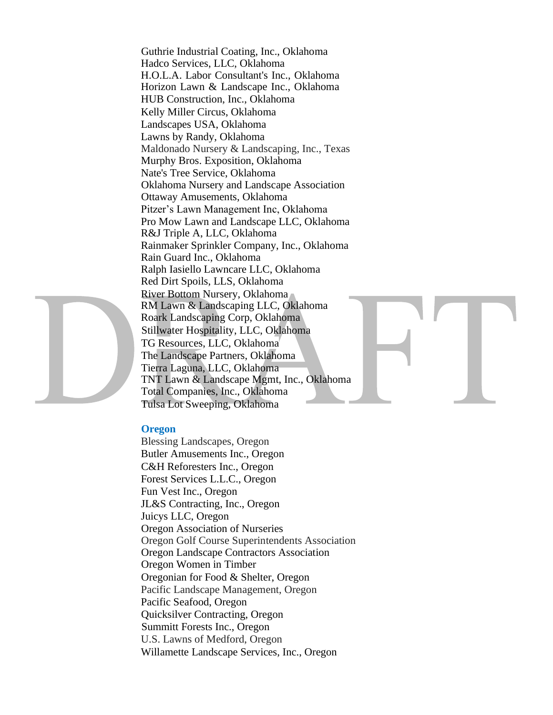Guthrie Industrial Coating, Inc., Oklahoma Hadco Services, LLC, Oklahoma H.O.L.A. Labor Consultant's Inc., Oklahoma Horizon Lawn & Landscape Inc., Oklahoma HUB Construction, Inc., Oklahoma Kelly Miller Circus, Oklahoma Landscapes USA, Oklahoma Lawns by Randy, Oklahoma Maldonado Nursery & Landscaping, Inc., Texas Murphy Bros. Exposition, Oklahoma Nate's Tree Service, Oklahoma Oklahoma Nursery and Landscape Association Ottaway Amusements, Oklahoma Pitzer's Lawn Management Inc, Oklahoma Pro Mow Lawn and Landscape LLC, Oklahoma R&J Triple A, LLC, Oklahoma Rainmaker Sprinkler Company, Inc., Oklahoma Rain Guard Inc., Oklahoma Ralph Iasiello Lawncare LLC, Oklahoma Red Dirt Spoils, LLS, Oklahoma River Bottom Nursery, Oklahoma RM Lawn & Landscaping LLC, Oklahoma Roark Landscaping Corp, Oklahoma Stillwater Hospitality, LLC, Oklahoma TG Resources, LLC, Oklahoma The Landscape Partners, Oklahoma Tierra Laguna, LLC, Oklahoma TNT Lawn & Landscape Mgmt, Inc., Oklahoma Total Companies, Inc., Oklahoma Tulsa Lot Sweeping, Oklahoma

# **Oregon**

Blessing Landscapes, Oregon Butler Amusements Inc., Oregon C&H Reforesters Inc., Oregon Forest Services L.L.C., Oregon Fun Vest Inc., Oregon JL&S Contracting, Inc., Oregon Juicys LLC, Oregon Oregon Association of Nurseries Oregon Golf Course Superintendents Association Oregon Landscape Contractors Association Oregon Women in Timber Oregonian for Food & Shelter, Oregon Pacific Landscape Management, Oregon Pacific Seafood, Oregon Quicksilver Contracting, Oregon Summitt Forests Inc., Oregon U.S. Lawns of Medford, Oregon Willamette Landscape Services, Inc., Oregon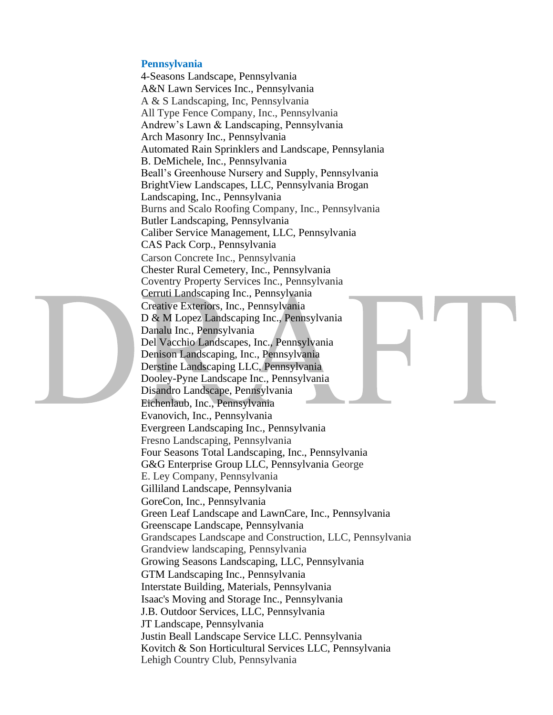# **Pennsylvania**

4-Seasons Landscape, Pennsylvania A&N Lawn Services Inc., Pennsylvania A & S Landscaping, Inc, Pennsylvania All Type Fence Company, Inc., Pennsylvania Andrew's Lawn & Landscaping, Pennsylvania Arch Masonry Inc., Pennsylvania Automated Rain Sprinklers and Landscape, Pennsylania B. DeMichele, Inc., Pennsylvania Beall's Greenhouse Nursery and Supply, Pennsylvania BrightView Landscapes, LLC, Pennsylvania Brogan Landscaping, Inc., Pennsylvania Burns and Scalo Roofing Company, Inc., Pennsylvania Butler Landscaping, Pennsylvania Caliber Service Management, LLC, Pennsylvania CAS Pack Corp., Pennsylvania Carson Concrete Inc., Pennsylvania Chester Rural Cemetery, Inc., Pennsylvania Coventry Property Services Inc., Pennsylvania Cerruti Landscaping Inc., Pennsylvania Creative Exteriors, Inc., Pennsylvania D & M Lopez Landscaping Inc., Pennsylvania Danalu Inc., Pennsylvania Del Vacchio Landscapes, Inc., Pennsylvania Denison Landscaping, Inc., Pennsylvania Derstine Landscaping LLC, Pennsylvania Dooley-Pyne Landscape Inc., Pennsylvania Disandro Landscape, Pennsylvania Eichenlaub, Inc., Pennsylvania Evanovich, Inc., Pennsylvania Evergreen Landscaping Inc., Pennsylvania Fresno Landscaping, Pennsylvania Four Seasons Total Landscaping, Inc., Pennsylvania G&G Enterprise Group LLC, Pennsylvania George E. Ley Company, Pennsylvania Gilliland Landscape, Pennsylvania GoreCon, Inc., Pennsylvania Green Leaf Landscape and LawnCare, Inc., Pennsylvania Greenscape Landscape, Pennsylvania Grandscapes Landscape and Construction, LLC, Pennsylvania Grandview landscaping, Pennsylvania Growing Seasons Landscaping, LLC, Pennsylvania GTM Landscaping Inc., Pennsylvania Interstate Building, Materials, Pennsylvania Isaac's Moving and Storage Inc., Pennsylvania J.B. Outdoor Services, LLC, Pennsylvania JT Landscape, Pennsylvania Justin Beall Landscape Service LLC. Pennsylvania Kovitch & Son Horticultural Services LLC, Pennsylvania Lehigh Country Club, Pennsylvania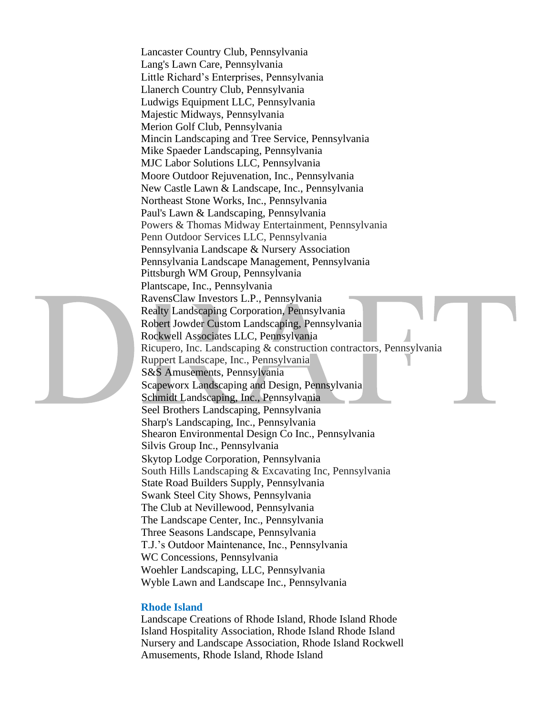Lancaster Country Club, Pennsylvania Lang's Lawn Care, Pennsylvania Little Richard's Enterprises, Pennsylvania Llanerch Country Club, Pennsylvania Ludwigs Equipment LLC, Pennsylvania Majestic Midways, Pennsylvania Merion Golf Club, Pennsylvania Mincin Landscaping and Tree Service, Pennsylvania Mike Spaeder Landscaping, Pennsylvania MJC Labor Solutions LLC, Pennsylvania Moore Outdoor Rejuvenation, Inc., Pennsylvania New Castle Lawn & Landscape, Inc., Pennsylvania Northeast Stone Works, Inc., Pennsylvania Paul's Lawn & Landscaping, Pennsylvania Powers & Thomas Midway Entertainment, Pennsylvania Penn Outdoor Services LLC, Pennsylvania Pennsylvania Landscape & Nursery Association Pennsylvania Landscape Management, Pennsylvania Pittsburgh WM Group, Pennsylvania Plantscape, Inc., Pennsylvania RavensClaw Investors L.P., Pennsylvania Realty Landscaping Corporation, Pennsylvania Robert Jowder Custom Landscaping, Pennsylvania Rockwell Associates LLC, Pennsylvania Ricupero, Inc. Landscaping & construction contractors, Pennsylvania Ruppert Landscape, Inc., Pennsylvania S&S Amusements, Pennsylvania Scapeworx Landscaping and Design, Pennsylvania Schmidt Landscaping, Inc., Pennsylvania Seel Brothers Landscaping, Pennsylvania Sharp's Landscaping, Inc., Pennsylvania Shearon Environmental Design Co Inc., Pennsylvania Silvis Group Inc., Pennsylvania Skytop Lodge Corporation, Pennsylvania South Hills Landscaping & Excavating Inc, Pennsylvania State Road Builders Supply, Pennsylvania Swank Steel City Shows, Pennsylvania The Club at Nevillewood, Pennsylvania The Landscape Center, Inc., Pennsylvania Three Seasons Landscape, Pennsylvania T.J.'s Outdoor Maintenance, Inc., Pennsylvania WC Concessions, Pennsylvania Woehler Landscaping, LLC, Pennsylvania Wyble Lawn and Landscape Inc., Pennsylvania

#### **Rhode Island**

Landscape Creations of Rhode Island, Rhode Island Rhode Island Hospitality Association, Rhode Island Rhode Island Nursery and Landscape Association, Rhode Island Rockwell Amusements, Rhode Island, Rhode Island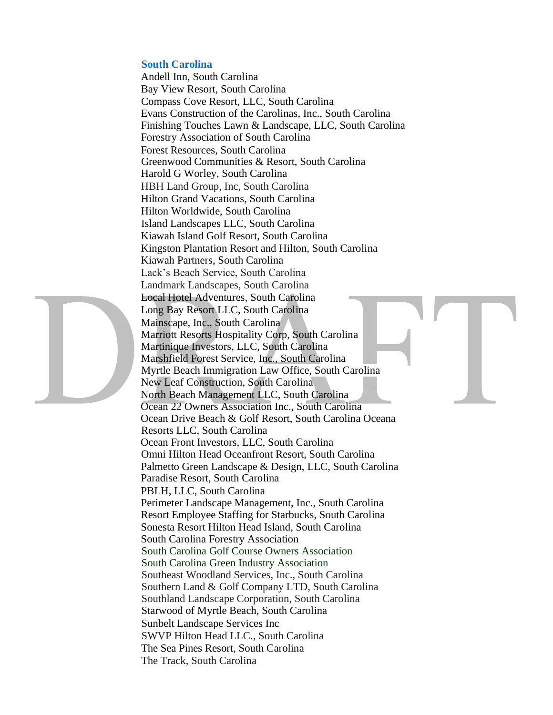## **South Carolina**

Andell Inn, South Carolina Bay View Resort, South Carolina Compass Cove Resort, LLC, South Carolina Evans Construction of the Carolinas, Inc., South Carolina Finishing Touches Lawn & Landscape, LLC, South Carolina Forestry Association of South Carolina Forest Resources, South Carolina Greenwood Communities & Resort, South Carolina Harold G Worley, South Carolina HBH Land Group, Inc, South Carolina Hilton Grand Vacations, South Carolina Hilton Worldwide, South Carolina Island Landscapes LLC, South Carolina Kiawah Island Golf Resort, South Carolina Kingston Plantation Resort and Hilton, South Carolina Kiawah Partners, South Carolina Lack's Beach Service, South Carolina Landmark Landscapes, South Carolina Local Hotel Adventures, South Carolina Long Bay Resort LLC, South Carolina Mainscape, Inc., South Carolina Marriott Resorts Hospitality Corp, South Carolina Martinique Investors, LLC, South Carolina Marshfield Forest Service, Inc., South Carolina Myrtle Beach Immigration Law Office, South Carolina New Leaf Construction, South Carolina North Beach Management LLC, South Carolina Ocean 22 Owners Association Inc., South Carolina Ocean Drive Beach & Golf Resort, South Carolina Oceana Resorts LLC, South Carolina Ocean Front Investors, LLC, South Carolina Omni Hilton Head Oceanfront Resort, South Carolina Palmetto Green Landscape & Design, LLC, South Carolina Paradise Resort, South Carolina PBLH, LLC, South Carolina Perimeter Landscape Management, Inc., South Carolina Resort Employee Staffing for Starbucks, South Carolina Sonesta Resort Hilton Head Island, South Carolina South Carolina Forestry Association South Carolina Golf Course Owners Association South Carolina Green Industry Association Southeast Woodland Services, Inc., South Carolina Southern Land & Golf Company LTD, South Carolina Southland Landscape Corporation, South Carolina Starwood of Myrtle Beach, South Carolina Sunbelt Landscape Services Inc SWVP Hilton Head LLC., South Carolina The Sea Pines Resort, South Carolina The Track, South Carolina

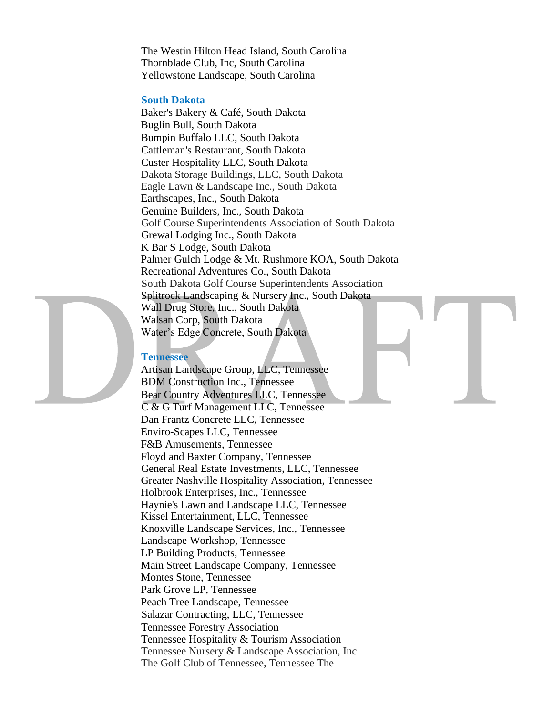The Westin Hilton Head Island, South Carolina Thornblade Club, Inc, South Carolina Yellowstone Landscape, South Carolina

#### **South Dakota**

Baker's Bakery & Café, South Dakota Buglin Bull, South Dakota Bumpin Buffalo LLC, South Dakota Cattleman's Restaurant, South Dakota Custer Hospitality LLC, South Dakota Dakota Storage Buildings, LLC, South Dakota Eagle Lawn & Landscape Inc., South Dakota Earthscapes, Inc., South Dakota Genuine Builders, Inc., South Dakota Golf Course Superintendents Association of South Dakota Grewal Lodging Inc., South Dakota K Bar S Lodge, South Dakota Palmer Gulch Lodge & Mt. Rushmore KOA, South Dakota Recreational Adventures Co., South Dakota South Dakota Golf Course Superintendents Association Splitrock Landscaping & Nursery Inc., South Dakota Wall Drug Store, Inc., South Dakota Walsan Corp, South Dakota Water's Edge Concrete, South Dakota

#### **Tennessee**

Artisan Landscape Group, LLC, Tennessee BDM Construction Inc., Tennessee Bear Country Adventures LLC, Tennessee C & G Turf Management LLC, Tennessee Dan Frantz Concrete LLC, Tennessee Enviro-Scapes LLC, Tennessee F&B Amusements, Tennessee Floyd and Baxter Company, Tennessee General Real Estate Investments, LLC, Tennessee Greater Nashville Hospitality Association, Tennessee Holbrook Enterprises, Inc., Tennessee Haynie's Lawn and Landscape LLC, Tennessee Kissel Entertainment, LLC, Tennessee Knoxville Landscape Services, Inc., Tennessee Landscape Workshop, Tennessee LP Building Products, Tennessee Main Street Landscape Company, Tennessee Montes Stone, Tennessee Park Grove LP, Tennessee Peach Tree Landscape, Tennessee Salazar Contracting, LLC, Tennessee Tennessee Forestry Association Tennessee Hospitality & Tourism Association Tennessee Nursery & Landscape Association, Inc. The Golf Club of Tennessee, Tennessee The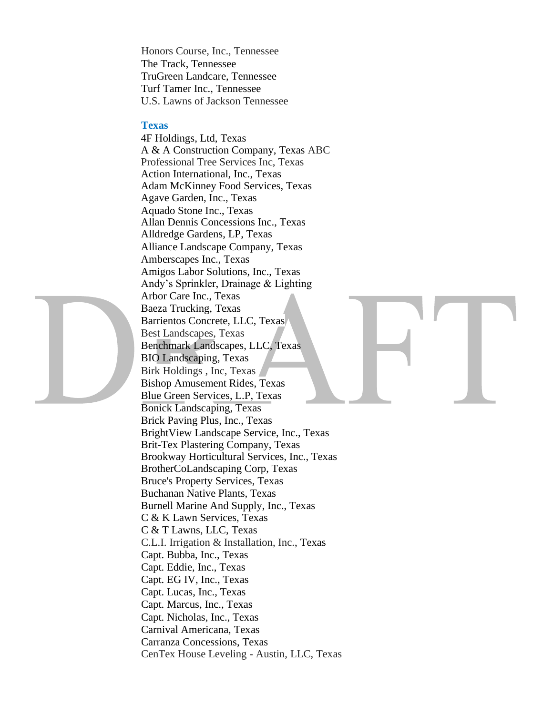Honors Course, Inc., Tennessee The Track, Tennessee TruGreen Landcare, Tennessee Turf Tamer Inc., Tennessee U.S. Lawns of Jackson Tennessee

#### **Texas**

4F Holdings, Ltd, Texas A & A Construction Company, Texas ABC Professional Tree Services Inc, Texas Action International, Inc., Texas Adam McKinney Food Services, Texas Agave Garden, Inc., Texas Aquado Stone Inc., Texas Allan Dennis Concessions Inc., Texas Alldredge Gardens, LP, Texas Alliance Landscape Company, Texas Amberscapes Inc., Texas Amigos Labor Solutions, Inc., Texas Andy's Sprinkler, Drainage & Lighting Arbor Care Inc., Texas Baeza Trucking, Texas Barrientos Concrete, LLC, Texas Best Landscapes, Texas Benchmark Landscapes, LLC, Texas BIO Landscaping, Texas Birk Holdings , Inc, Texas Bishop Amusement Rides, Texas Blue Green Services, L.P, Texas Bonick Landscaping, Texas Brick Paving Plus, Inc., Texas BrightView Landscape Service, Inc., Texas Brit-Tex Plastering Company, Texas Brookway Horticultural Services, Inc., Texas BrotherCoLandscaping Corp, Texas Bruce's Property Services, Texas Buchanan Native Plants, Texas Burnell Marine And Supply, Inc., Texas C & K Lawn Services, Texas C & T Lawns, LLC, Texas C.L.I. Irrigation & Installation, Inc., Texas Capt. Bubba, Inc., Texas Capt. Eddie, Inc., Texas Capt. EG IV, Inc., Texas Capt. Lucas, Inc., Texas Capt. Marcus, Inc., Texas Capt. Nicholas, Inc., Texas Carnival Americana, Texas Carranza Concessions, Texas CenTex House Leveling - Austin, LLC, Texas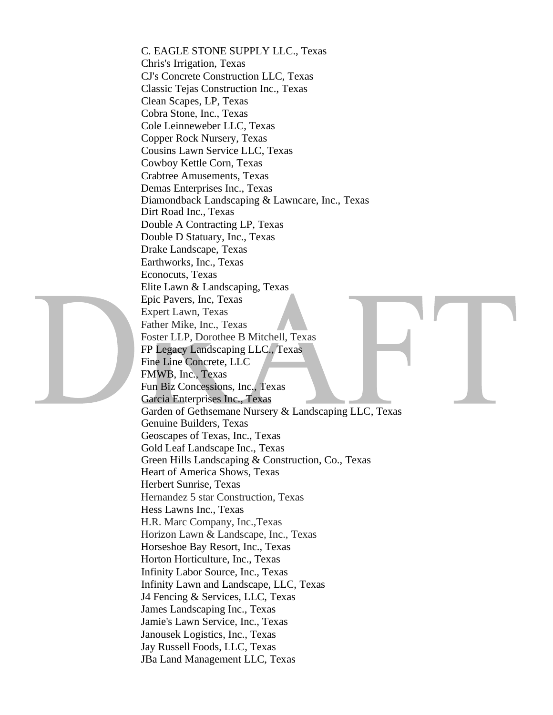C. EAGLE STONE SUPPLY LLC., Texas Chris's Irrigation, Texas CJ's Concrete Construction LLC, Texas Classic Tejas Construction Inc., Texas Clean Scapes, LP, Texas Cobra Stone, Inc., Texas Cole Leinneweber LLC, Texas Copper Rock Nursery, Texas Cousins Lawn Service LLC, Texas Cowboy Kettle Corn, Texas Crabtree Amusements, Texas Demas Enterprises Inc., Texas Diamondback Landscaping & Lawncare, Inc., Texas Dirt Road Inc., Texas Double A Contracting LP, Texas Double D Statuary, Inc., Texas Drake Landscape, Texas Earthworks, Inc., Texas Econocuts, Texas Elite Lawn & Landscaping, Texas Epic Pavers, Inc, Texas Expert Lawn, Texas Father Mike, Inc., Texas Foster LLP, Dorothee B Mitchell, Texas FP Legacy Landscaping LLC., Texas Fine Line Concrete, LLC FMWB, Inc., Texas Fun Biz Concessions, Inc., Texas Garcia Enterprises Inc., Texas Garden of Gethsemane Nursery & Landscaping LLC, Texas Genuine Builders, Texas Geoscapes of Texas, Inc., Texas Gold Leaf Landscape Inc., Texas Green Hills Landscaping & Construction, Co., Texas Heart of America Shows, Texas Herbert Sunrise, Texas Hernandez 5 star Construction, Texas Hess Lawns Inc., Texas H.R. Marc Company, Inc.,Texas Horizon Lawn & Landscape, Inc., Texas Horseshoe Bay Resort, Inc., Texas Horton Horticulture, Inc., Texas Infinity Labor Source, Inc., Texas Infinity Lawn and Landscape, LLC, Texas J4 Fencing & Services, LLC, Texas James Landscaping Inc., Texas Jamie's Lawn Service, Inc., Texas Janousek Logistics, Inc., Texas Jay Russell Foods, LLC, Texas JBa Land Management LLC, Texas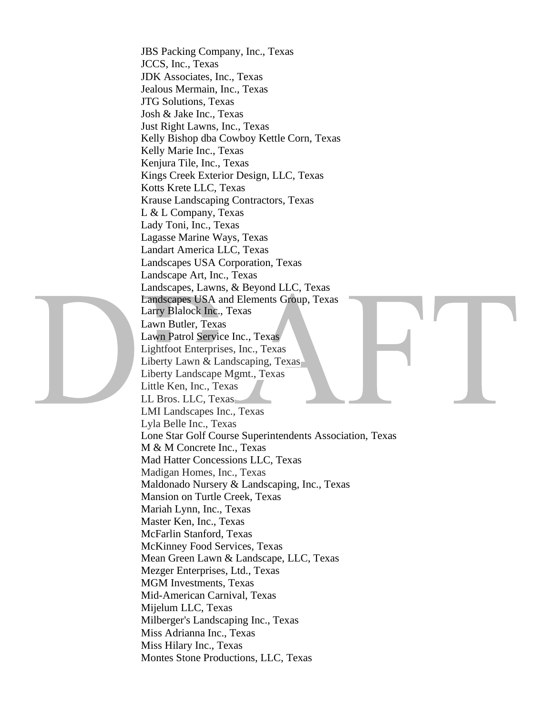JBS Packing Company, Inc., Texas JCCS, Inc., Texas JDK Associates, Inc., Texas Jealous Mermain, Inc., Texas JTG Solutions, Texas Josh & Jake Inc., Texas Just Right Lawns, Inc., Texas Kelly Bishop dba Cowboy Kettle Corn, Texas Kelly Marie Inc., Texas Kenjura Tile, Inc., Texas Kings Creek Exterior Design, LLC, Texas Kotts Krete LLC, Texas Krause Landscaping Contractors, Texas L & L Company, Texas Lady Toni, Inc., Texas Lagasse Marine Ways, Texas Landart America LLC, Texas Landscapes USA Corporation, Texas Landscape Art, Inc., Texas Landscapes, Lawns, & Beyond LLC, Texas Landscapes USA and Elements Group, Texas Larry Blalock Inc., Texas Lawn Butler, Texas Lawn Patrol Service Inc., Texas Lightfoot Enterprises, Inc., Texas Liberty Lawn & Landscaping, Texas Liberty Landscape Mgmt., Texas Little Ken, Inc., Texas LL Bros. LLC, Texas LMI Landscapes Inc., Texas Lyla Belle Inc., Texas Lone Star Golf Course Superintendents Association, Texas M & M Concrete Inc., Texas Mad Hatter Concessions LLC, Texas Madigan Homes, Inc., Texas Maldonado Nursery & Landscaping, Inc., Texas Mansion on Turtle Creek, Texas Mariah Lynn, Inc., Texas Master Ken, Inc., Texas McFarlin Stanford, Texas McKinney Food Services, Texas Mean Green Lawn & Landscape, LLC, Texas Mezger Enterprises, Ltd., Texas MGM Investments, Texas Mid-American Carnival, Texas Mijelum LLC, Texas Milberger's Landscaping Inc., Texas Miss Adrianna Inc., Texas Miss Hilary Inc., Texas Montes Stone Productions, LLC, Texas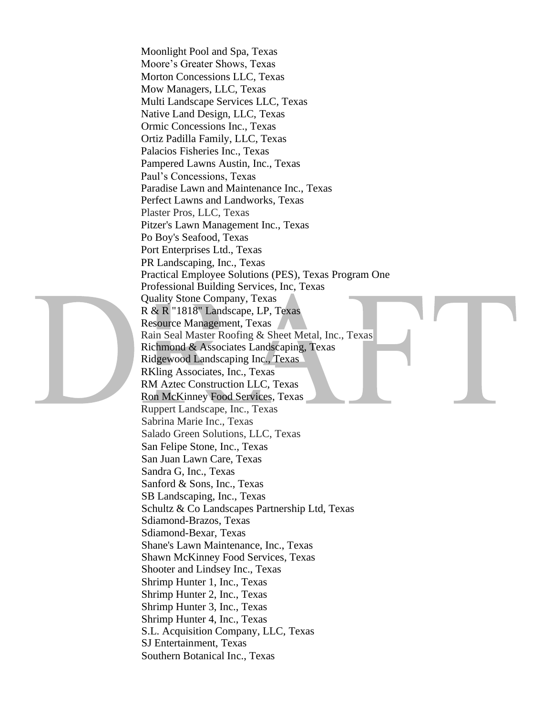Moonlight Pool and Spa, Texas Moore's Greater Shows, Texas Morton Concessions LLC, Texas Mow Managers, LLC, Texas Multi Landscape Services LLC, Texas Native Land Design, LLC, Texas Ormic Concessions Inc., Texas Ortiz Padilla Family, LLC, Texas Palacios Fisheries Inc., Texas Pampered Lawns Austin, Inc., Texas Paul's Concessions, Texas Paradise Lawn and Maintenance Inc., Texas Perfect Lawns and Landworks, Texas Plaster Pros, LLC, Texas Pitzer's Lawn Management Inc., Texas Po Boy's Seafood, Texas Port Enterprises Ltd., Texas PR Landscaping, Inc., Texas Practical Employee Solutions (PES), Texas Program One Professional Building Services, Inc, Texas Quality Stone Company, Texas R & R "1818" Landscape, LP, Texas Resource Management, Texas Rain Seal Master Roofing & Sheet Metal, Inc., Texas Richmond & Associates Landscaping, Texas Ridgewood Landscaping Inc., Texas RKling Associates, Inc., Texas RM Aztec Construction LLC, Texas Ron McKinney Food Services, Texas Ruppert Landscape, Inc., Texas Sabrina Marie Inc., Texas Salado Green Solutions, LLC, Texas San Felipe Stone, Inc., Texas San Juan Lawn Care, Texas Sandra G, Inc., Texas Sanford & Sons, Inc., Texas SB Landscaping, Inc., Texas Schultz & Co Landscapes Partnership Ltd, Texas Sdiamond-Brazos, Texas Sdiamond-Bexar, Texas Shane's Lawn Maintenance, Inc., Texas Shawn McKinney Food Services, Texas Shooter and Lindsey Inc., Texas Shrimp Hunter 1, Inc., Texas Shrimp Hunter 2, Inc., Texas Shrimp Hunter 3, Inc., Texas Shrimp Hunter 4, Inc., Texas S.L. Acquisition Company, LLC, Texas SJ Entertainment, Texas Southern Botanical Inc., Texas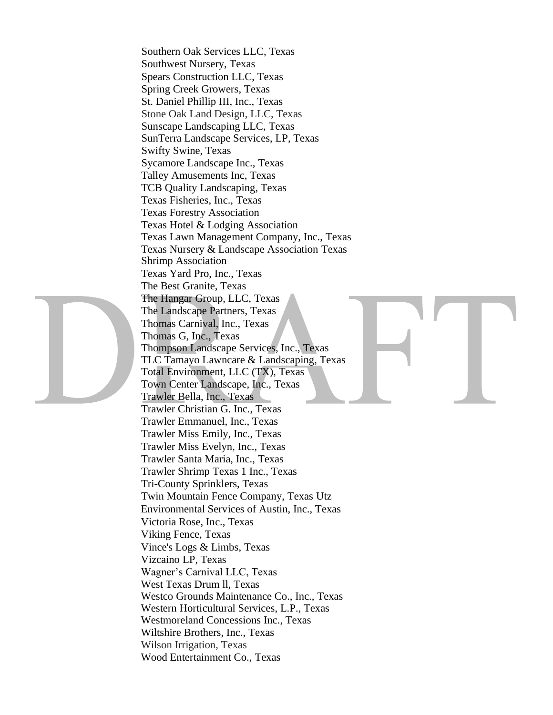Southern Oak Services LLC, Texas Southwest Nursery, Texas Spears Construction LLC, Texas Spring Creek Growers, Texas St. Daniel Phillip III, Inc., Texas Stone Oak Land Design, LLC, Texas Sunscape Landscaping LLC, Texas SunTerra Landscape Services, LP, Texas Swifty Swine, Texas Sycamore Landscape Inc., Texas Talley Amusements Inc, Texas TCB Quality Landscaping, Texas Texas Fisheries, Inc., Texas Texas Forestry Association Texas Hotel & Lodging Association Texas Lawn Management Company, Inc., Texas Texas Nursery & Landscape Association Texas Shrimp Association Texas Yard Pro, Inc., Texas The Best Granite, Texas The Hangar Group, LLC, Texas The Landscape Partners, Texas Thomas Carnival, Inc., Texas Thomas G, Inc., Texas Thompson Landscape Services, Inc., Texas TLC Tamayo Lawncare & Landscaping, Texas Total Environment, LLC (TX), Texas Town Center Landscape, Inc., Texas Trawler Bella, Inc., Texas Trawler Christian G. Inc., Texas Trawler Emmanuel, Inc., Texas Trawler Miss Emily, Inc., Texas Trawler Miss Evelyn, Inc., Texas Trawler Santa Maria, Inc., Texas Trawler Shrimp Texas 1 Inc., Texas Tri-County Sprinklers, Texas Twin Mountain Fence Company, Texas Utz Environmental Services of Austin, Inc., Texas Victoria Rose, Inc., Texas Viking Fence, Texas Vince's Logs & Limbs, Texas Vizcaino LP, Texas Wagner's Carnival LLC, Texas West Texas Drum ll, Texas Westco Grounds Maintenance Co., Inc., Texas Western Horticultural Services, L.P., Texas Westmoreland Concessions Inc., Texas Wiltshire Brothers, Inc., Texas Wilson Irrigation, Texas Wood Entertainment Co., Texas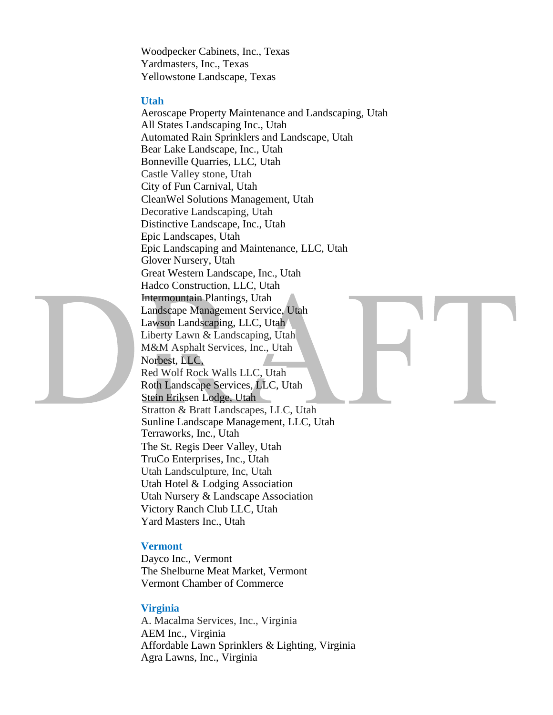Woodpecker Cabinets, Inc., Texas Yardmasters, Inc., Texas Yellowstone Landscape, Texas

#### **Utah**

Aeroscape Property Maintenance and Landscaping, Utah All States Landscaping Inc., Utah Automated Rain Sprinklers and Landscape, Utah Bear Lake Landscape, Inc., Utah Bonneville Quarries, LLC, Utah Castle Valley stone, Utah City of Fun Carnival, Utah CleanWel Solutions Management, Utah Decorative Landscaping, Utah Distinctive Landscape, Inc., Utah Epic Landscapes, Utah Epic Landscaping and Maintenance, LLC, Utah Glover Nursery, Utah Great Western Landscape, Inc., Utah Hadco Construction, LLC, Utah Intermountain Plantings, Utah Landscape Management Service, Utah Lawson Landscaping, LLC, Utah Liberty Lawn & Landscaping, Utah M&M Asphalt Services, Inc., Utah Norbest, LLC, Red Wolf Rock Walls LLC, Utah Roth Landscape Services, LLC, Utah Stein Eriksen Lodge, Utah Stratton & Bratt Landscapes, LLC, Utah Sunline Landscape Management, LLC, Utah Terraworks, Inc., Utah The St. Regis Deer Valley, Utah TruCo Enterprises, Inc., Utah Utah Landsculpture, Inc, Utah Utah Hotel & Lodging Association Utah Nursery & Landscape Association Victory Ranch Club LLC, Utah Yard Masters Inc., Utah

#### **Vermont**

Dayco Inc., Vermont The Shelburne Meat Market, Vermont Vermont Chamber of Commerce

#### **Virginia**

A. Macalma Services, Inc., Virginia AEM Inc., Virginia Affordable Lawn Sprinklers & Lighting, Virginia Agra Lawns, Inc., Virginia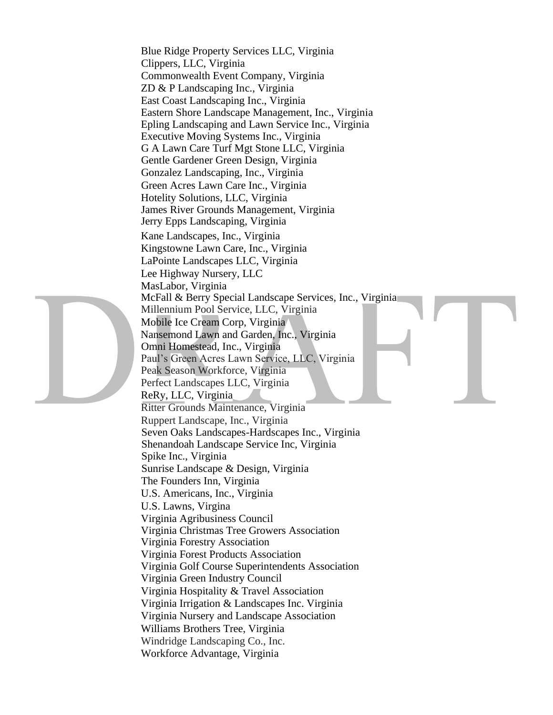Blue Ridge Property Services LLC, Virginia Clippers, LLC, Virginia Commonwealth Event Company, Virginia ZD & P Landscaping Inc., Virginia East Coast Landscaping Inc., Virginia Eastern Shore Landscape Management, Inc., Virginia Epling Landscaping and Lawn Service Inc., Virginia Executive Moving Systems Inc., Virginia G A Lawn Care Turf Mgt Stone LLC, Virginia Gentle Gardener Green Design, Virginia Gonzalez Landscaping, Inc., Virginia Green Acres Lawn Care Inc., Virginia Hotelity Solutions, LLC, Virginia James River Grounds Management, Virginia Jerry Epps Landscaping, Virginia Kane Landscapes, Inc., Virginia Kingstowne Lawn Care, Inc., Virginia LaPointe Landscapes LLC, Virginia Lee Highway Nursery, LLC MasLabor, Virginia McFall & Berry Special Landscape Services, Inc., Virginia Millennium Pool Service, LLC, Virginia Mobile Ice Cream Corp, Virginia Nansemond Lawn and Garden, Inc., Virginia Omni Homestead, Inc., Virginia Paul's Green Acres Lawn Service, LLC, Virginia Peak Season Workforce, Virginia Perfect Landscapes LLC, Virginia ReRy, LLC, Virginia Ritter Grounds Maintenance, Virginia Ruppert Landscape, Inc., Virginia Seven Oaks Landscapes-Hardscapes Inc., Virginia Shenandoah Landscape Service Inc, Virginia Spike Inc., Virginia Sunrise Landscape & Design, Virginia The Founders Inn, Virginia U.S. Americans, Inc., Virginia U.S. Lawns, Virgina Virginia Agribusiness Council Virginia Christmas Tree Growers Association Virginia Forestry Association Virginia Forest Products Association Virginia Golf Course Superintendents Association Virginia Green Industry Council Virginia Hospitality & Travel Association Virginia Irrigation & Landscapes Inc. Virginia Virginia Nursery and Landscape Association Williams Brothers Tree, Virginia Windridge Landscaping Co., Inc. Workforce Advantage, Virginia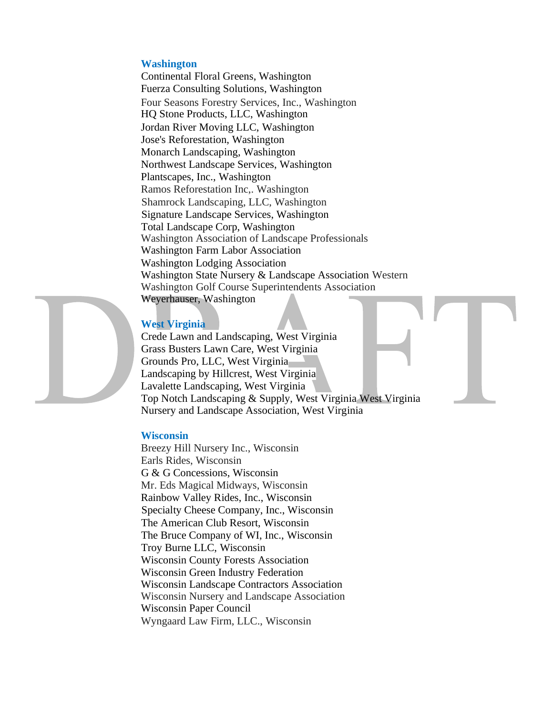#### **Washington**

Continental Floral Greens, Washington Fuerza Consulting Solutions, Washington Four Seasons Forestry Services, Inc., Washington HQ Stone Products, LLC, Washington Jordan River Moving LLC, Washington Jose's Reforestation, Washington Monarch Landscaping, Washington Northwest Landscape Services, Washington Plantscapes, Inc., Washington Ramos Reforestation Inc,. Washington Shamrock Landscaping, LLC, Washington Signature Landscape Services, Washington Total Landscape Corp, Washington Washington Association of Landscape Professionals Washington Farm Labor Association Washington Lodging Association Washington State Nursery & Landscape Association Western Washington Golf Course Superintendents Association Weyerhauser, Washington

# **West Virginia**

Crede Lawn and Landscaping, West Virginia Grass Busters Lawn Care, West Virginia Grounds Pro, LLC, West Virginia Landscaping by Hillcrest, West Virginia Lavalette Landscaping, West Virginia Top Notch Landscaping & Supply, West Virginia West Virginia Nursery and Landscape Association, West Virginia

#### **Wisconsin**

Breezy Hill Nursery Inc., Wisconsin Earls Rides, Wisconsin G & G Concessions, Wisconsin Mr. Eds Magical Midways, Wisconsin Rainbow Valley Rides, Inc., Wisconsin Specialty Cheese Company, Inc., Wisconsin The American Club Resort, Wisconsin The Bruce Company of WI, Inc., Wisconsin Troy Burne LLC, Wisconsin Wisconsin County Forests Association Wisconsin Green Industry Federation Wisconsin Landscape Contractors Association Wisconsin Nursery and Landscape Association Wisconsin Paper Council Wyngaard Law Firm, LLC., Wisconsin